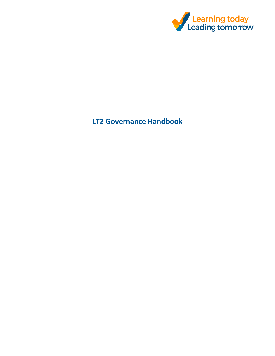

# **LT2 Governance Handbook**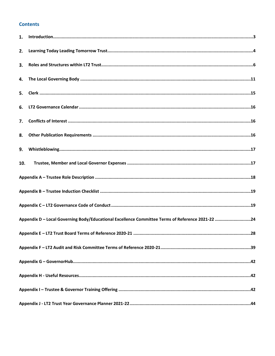# **Contents**

| 2.  |                                                                                                  |  |
|-----|--------------------------------------------------------------------------------------------------|--|
| 3.  |                                                                                                  |  |
| 4.  |                                                                                                  |  |
|     |                                                                                                  |  |
| 6.  |                                                                                                  |  |
| 7.  |                                                                                                  |  |
| 8.  |                                                                                                  |  |
| 9.  |                                                                                                  |  |
| 10. |                                                                                                  |  |
|     |                                                                                                  |  |
|     |                                                                                                  |  |
|     |                                                                                                  |  |
|     | Appendix D - Local Governing Body/Educational Excellence Committee Terms of Reference 2021-22 24 |  |
|     |                                                                                                  |  |
|     |                                                                                                  |  |
|     |                                                                                                  |  |
|     |                                                                                                  |  |
|     |                                                                                                  |  |
|     |                                                                                                  |  |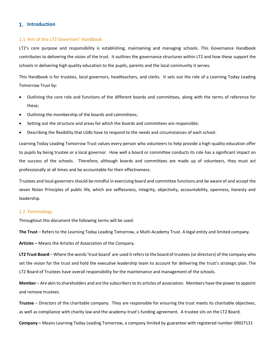# **Introduction**

#### 1.1 Aim of this LT2 Governors' Handbook

LT2's core purpose and responsibility is establishing, maintaining and managing schools. This Governance Handbook contributes to delivering the vision of the trust. It outlines the governance structures within LT2 and how these support the schools in delivering high quality education to the pupils, parents and the local community it serves.

This Handbook is for trustees, local governors, headteachers, and clerks. It sets out the role of a Learning Today Leading Tomorrow Trust by:

- Outlining the core role and functions of the different boards and committees, along with the terms of reference for these;
- Outlining the membership of the boards and committees;
- Setting out the structure and areas for which the boards and committees are responsible;
- Describing the flexibility that LGBs have to respond to the needs and circumstances of each school.

Learning Today Leading Tomorrow Trust values every person who volunteers to help provide a high-quality education offer to pupils by being trustee or a local governor. How well a board or committee conducts its role has a significant impact on the success of the schools. Therefore, although boards and committees are made up of volunteers, they must act professionally at all times and be accountable for their effectiveness.

Trustees and local governors should be mindful in exercising board and committee functions and be aware of and accept the seven Nolan Principles of public life, which are selflessness, integrity, objectivity, accountability, openness, honesty and leadership.

#### 1.2 Terminology

Throughout this document the following terms will be used:

**The Trust** – Refers to the Learning Today Leading Tomorrow, a Multi-Academy Trust. A legal entity and limited company.

**Articles –** Means the Articles of Association of the Company.

**LT2 Trust Board** – Where the words 'trust board' are used it refers to the board of trustees (or directors) of the company who set the vision for the trust and hold the executive leadership team to account for delivering the trust's strategic plan. The LT2 Board of Trustees have overall responsibility for the maintenance and management of the schools.

**Member** – Are akin to shareholders and are the subscribers to its articles of association. Members have the power to appoint and remove trustees.

**Trustee** – Directors of the charitable company. They are responsible for ensuring the trust meets its charitable objectives, as well as compliance with charity law and the academy-trust's funding agreement. A trustee sits on the LT2 Board.

**Company –** Means Learning Today Leading Tomorrow, a company limited by guarantee with registered number 09027131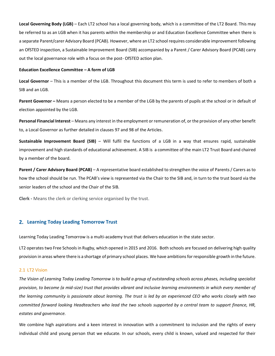**Local Governing Body (LGB)** – Each LT2 school has a local governing body, which is a committee of the LT2 Board. This may be referred to as an LGB when it has parents within the membership or and Education Excellence Committee when there is a separate Parent/carer Advisory Board (PCAB). However, where an LT2 school requires considerable improvement following an OfSTED inspection, a Sustainable Improvement Board (SIB) accompanied by a Parent / Carer Advisory Board (PCAB) carry out the local governance role with a focus on the post- OfSTED action plan.

#### **Education Excellence Committee – A form of LGB**

**Local Governor** – This is a member of the LGB. Throughout this document this term is used to refer to members of both a SIB and an LGB.

**Parent Governor –** Means a person elected to be a member of the LGB by the parents of pupils at the school or in default of election appointed by the LGB.

**Personal Financial Interest** – Means any interest in the employment or remuneration of, or the provision of any other benefit to, a Local Governor as further detailed in clauses 97 and 98 of the Articles.

**Sustainable Improvement Board (SIB)** – Will fulfil the functions of a LGB in a way that ensures rapid, sustainable improvement and high standards of educational achievement. A SIB is a committee of the main LT2 Trust Board and chaired by a member of the board.

**Parent / Carer Advisory Board (PCAB)** – A representative board established to strengthen the voice of Parents / Carers as to how the school should be run. The PCAB's view is represented via the Chair to the SIB and, in turn to the trust board via the senior leaders of the school and the Chair of the SIB.

**Clerk -** Means the clerk or clerking service organised by the trust.

# **Learning Today Leading Tomorrow Trust**

Learning Today Leading Tomorrow is a multi-academy trust that delivers education in the state sector.

LT2 operates two Free Schools in Rugby, which opened in 2015 and 2016. Both schools are focused on delivering high quality provision in areas where there is a shortage of primary school places. We have ambitions for responsible growth in the future.

#### 2.1 LT2 Vision

*The Vision of Learning Today Leading Tomorrow is to build a group of outstanding schools across phases, including specialist provision, to become (a mid-size) trust that provides vibrant and inclusive learning environments in which every member of the learning community is passionate about learning. The trust is led by an experienced CEO who works closely with two committed forward looking Headteachers who lead the two schools supported by a central team to support finance, HR, estates and governance.* 

We combine high aspirations and a keen interest in innovation with a commitment to inclusion and the rights of every individual child and young person that we educate. In our schools, every child is known, valued and respected for their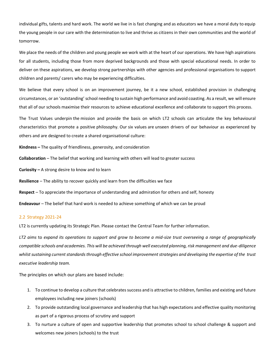individual gifts, talents and hard work. The world we live in is fast changing and as educators we have a moral duty to equip the young people in our care with the determination to live and thrive as citizens in their own communities and the world of tomorrow.

We place the needs of the children and young people we work with at the heart of our operations. We have high aspirations for all students, including those from more deprived backgrounds and those with special educational needs. In order to deliver on these aspirations, we develop strong partnerships with other agencies and professional organisations to support children and parents/ carers who may be experiencing difficulties.

We believe that every school is on an improvement journey, be it a new school, established provision in challenging circumstances, or an 'outstanding' school needing to sustain high performance and avoid coasting. As a result, we will ensure that all of our schools maximise their resources to achieve educational excellence and collaborate to support this process.

The Trust Values underpin the mission and provide the basis on which LT2 schools can articulate the key behavioural characteristics that promote a positive philosophy. Our six values are unseen drivers of our behaviour as experienced by others and are designed to create a shared organisational culture:

**Kindness –** The quality of friendliness, generosity, and consideration

**Collaboration** – The belief that working and learning with others will lead to greater success

**Curiosity –** A strong desire to know and to learn

**Resilience** – The ability to recover quickly and learn from the difficulties we face

**Respect** – To appreciate the importance of understanding and admiration for others and self, honesty

**Endeavour** – The belief that hard work is needed to achieve something of which we can be proud

# 2.2 Strategy 2021-24

LT2 is currently updating its Strategic Plan. Please contact the Central Team for further information.

*LT2 aims* to *expand its operations to support and grow to become a mid-size trust overseeing a range of geographically compatible schools and academies. This will be achieved through well executed planning, risk management and due-diligence whilst sustaining current standardsthrough effective school improvement strategies and developing the expertise of the trust executive leadership team.*

The principles on which our plans are based include:

- 1. To continue to develop a culture that celebrates success and is attractive to children, families and existing and future employees including new joiners (schools)
- 2. To provide outstanding local governance and leadership that has high expectations and effective quality monitoring as part of a rigorous process of scrutiny and support
- 3. To nurture a culture of open and supportive leadership that promotes school to school challenge & support and welcomes new joiners (schools) to the trust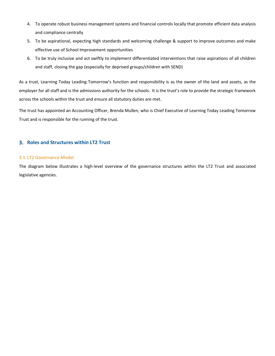- 4. To operate robust business management systems and financial controls locally that promote efficient data analysis and compliance centrally
- 5. To be aspirational, expecting high standards and welcoming challenge & support to improve outcomes and make effective use of School Improvement opportunities
- 6. To be truly inclusive and act swiftly to implement differentiated interventions that raise aspirations of all children and staff, closing the gap (especially for deprived groups/children with SEND)

As a trust, Learning Today Leading Tomorrow's function and responsibility is as the owner of the land and assets, as the employer for all staff and is the admissions authority for the schools. It is the trust's role to provide the strategic framework across the schools within the trust and ensure all statutory duties are met.

The trust has appointed an Accounting Officer, Brenda Mullen, who is Chief Executive of Learning Today Leading Tomorrow Trust and is responsible for the running of the trust.

# **Roles and Structures within LT2 Trust**

# 3.1 LT2 Governance Model

The diagram below illustrates a high-level overview of the governance structures within the LT2 Trust and associated legislative agencies.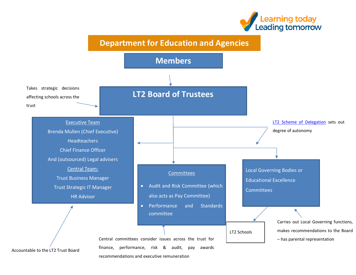



recommendations and executive remuneration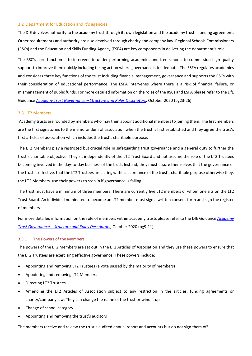# 3.2 Department for Education and it's agencies

The DfE devolves authority to the academy trust through its own legislation and the academy trust's funding agreement. Other requirements and authority are also devolved through charity and company law. Regional Schools Commissioners (RSCs) and the Education and Skills Funding Agency (ESFA) are key components in delivering the department's role.

The RSC's core function is to intervene in under-performing academies and free schools to commission high quality support to improve them quickly including taking action where governance is inadequate. The ESFA regulates academies and considers three key functions of the trust including financial management, governance and supports the RSCs with their consideration of educational performance. The ESFA intervenes where there is a risk of financial failure, or mismanagement of public funds. For more detailed information on the roles of the RSCs and ESFA please refer to the DfE Guidance *Academy Trust Governance – [Structure and Roles Descriptors,](https://assets.publishing.service.gov.uk/government/uploads/system/uploads/attachment_data/file/924673/Academies_governance_role_descriptors.pdf)* October 2020 (pg23-26).

# 3.3 LT2 Members

Academy trusts are founded by members who may then appoint additional members to joining them. The first members are the first signatories to the memorandum of association when the trust is first established and they agree the trust's first articles of association which includes the trust's charitable purpose.

The LT2 Members play a restricted but crucial role in safeguarding trust governance and a general duty to further the trust's charitable objective. They sit independently of the LT2 Trust Board and not assume the role of the LT2 Trustees becoming involved in the day-to-day business of the trust. Instead, they must assure themselves that the governance of the trust is effective, that the LT2 Trustees are acting within accordance of the trust's charitable purpose otherwise they, the LT2 Members, use their powers to step in if governance is failing.

The trust must have a minimum of three members. There are currently five LT2 members of whom one sits on the LT2 Trust Board. An individual nominated to become an LT2 member must sign a written consent form and sign the register of members.

For more detailed information on the role of members within academy trusts please refer to the DfE Guidance *[Academy](https://assets.publishing.service.gov.uk/government/uploads/system/uploads/attachment_data/file/924673/Academies_governance_role_descriptors.pdf)  Trust Governance – [Structure and Roles Descriptors,](https://assets.publishing.service.gov.uk/government/uploads/system/uploads/attachment_data/file/924673/Academies_governance_role_descriptors.pdf)* October 2020 (pg9-11).

# 3.3.1 The Powers of the Members

The powers of the LT2 Members are set out in the LT2 Articles of Association and they use these powers to ensure that the LT2 Trustees are exercising effective governance. These powers include:

- Appointing and removing LT2 Trustees (a vote passed by the majority of members)
- Appointing and removing LT2 Members
- Directing LT2 Trustees
- Amending the LT2 Articles of Association subject to any restriction in the articles, funding agreements or charity/company law. They can change the name of the trust or wind it up
- Change of school category
- Appointing and removing the trust's auditors

The members receive and review the trust's audited annual report and accounts but do not sign them off.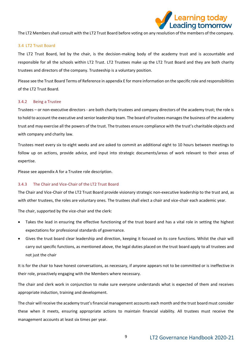

The LT2 Members shall consult with the LT2 Trust Board before voting on any resolution of the members of the company.

#### 3.4 LT2 Trust Board

The LT2 Trust Board, led by the chair, is the decision-making body of the academy trust and is accountable and responsible for all the schools within LT2 Trust. LT2 Trustees make up the LT2 Trust Board and they are both charity trustees and directors of the company. Trusteeship is a voluntary position.

Please see the Trust Board Terms of Reference in appendix E for more information on the specific role and responsibilities of the LT2 Trust Board.

#### 3.4.2 Being a Trustee

Trustees – or non-executive directors - are both charity trustees and company directors of the academy trust; the role is to hold to account the executive and senior leadership team. The board of trustees manages the business of the academy trust and may exercise all the powers of the trust. The trustees ensure compliance with the trust's charitable objects and with company and charity law.

Trustees meet every six to eight weeks and are asked to commit an additional eight to 10 hours between meetings to follow up on actions, provide advice, and input into strategic documents/areas of work relevant to their areas of expertise.

Please see appendix A for a Trustee role description.

#### 3.4.3 The Chair and Vice-Chair of the LT2 Trust Board

The Chair and Vice-Chair of the LT2 Trust Board provide visionary strategic non-executive leadership to the trust and, as with other trustees, the roles are voluntary ones. The trustees shall elect a chair and vice-chair each academic year.

The chair, supported by the vice-chair and the clerk:

- Takes the lead in ensuring the effective functioning of the trust board and has a vital role in setting the highest expectations for professional standards of governance.
- Gives the trust board clear leadership and direction, keeping it focused on its core functions. Whilst the chair will carry out specific functions, as mentioned above, the legal duties placed on the trust board apply to all trustees and not just the chair

It is for the chair to have honest conversations, as necessary, if anyone appears not to be committed or is ineffective in their role, proactively engaging with the Members where necessary.

The chair and clerk work in conjunction to make sure everyone understands what is expected of them and receives appropriate induction, training and development.

The chair will receive the academy trust's financial management accounts each month and the trust board must consider these when it meets, ensuring appropriate actions to maintain financial viability. All trustees must receive the management accounts at least six times per year.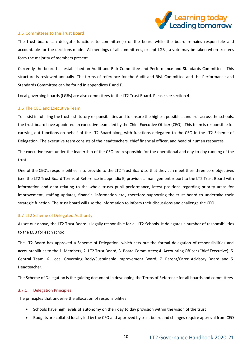

# 3.5 Committees to the Trust Board

The trust board can delegate functions to committee(s) of the board while the board remains responsible and accountable for the decisions made. At meetings of all committees, except LGBs, a vote may be taken when trustees form the majority of members present.

Currently the board has established an Audit and Risk Committee and Performance and Standards Committee. This structure is reviewed annually. The terms of reference for the Audit and Risk Committee and the Performance and Standards Committee can be found in appendices E and F.

Local governing boards (LGBs) are also committees to the LT2 Trust Board. Please see section 4.

# 3.6 The CEO and Executive Team

To assist in fulfilling the trust's statutory responsibilities and to ensure the highest possible standards across the schools, the trust board have appointed an executive team, led by the Chief Executive Officer (CEO). This team is responsible for carrying out functions on behalf of the LT2 Board along with functions delegated to the CEO in the LT2 Scheme of Delegation. The executive team consists of the headteachers, chief financial officer, and head of human resources.

The executive team under the leadership of the CEO are responsible for the operational and day-to-day running of the trust.

One of the CEO's responsibilities is to provide to the LT2 Trust Board so that they can meet their three core objectives (see the LT2 Trust Board Terms of Reference in appendix E) provides a management report to the LT2 Trust Board with information and data relating to the whole trusts pupil performance, latest positions regarding priority areas for improvement, staffing updates, financial information etc., therefore supporting the trust board to undertake their strategic function. The trust board will use the information to inform their discussions and challenge the CEO.

# 3.7 LT2 Scheme of Delegated Authority

As set out above, the LT2 Trust Board is legally responsible for all LT2 Schools. It delegates a number of responsibilities to the LGB for each school.

The LT2 Board has approved a Scheme of Delegation, which sets out the formal delegation of responsibilities and accountabilities to the 1. Members; 2. LT2 Trust Board; 3. Board Committees; 4. Accounting Officer (Chief Executive); 5. Central Team; 6. Local Governing Body/Sustainable Improvement Board; 7. Parent/Carer Advisory Board and 5. Headteacher.

The Scheme of Delegation is the guiding document in developing the Terms of Reference for all boards and committees.

#### 3.7.1 Delegation Principles

The principles that underlie the allocation of responsibilities:

- Schools have high levels of autonomy on their day to day provision within the vision of the trust
- Budgets are collated locally led by the CFO and approved by trust board and changes require approval from CEO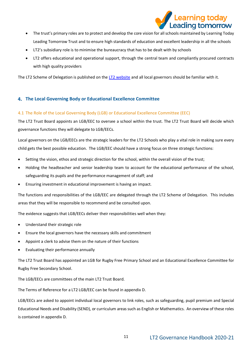

- The trust's primary roles are to protect and develop the core vision for all schools maintained by Learning Today Leading Tomorrow Trust and to ensure high standards of education and excellent leadership in all the schools
- LT2's subsidiary role is to minimise the bureaucracy that has to be dealt with by schools
- LT2 offers educational and operational support, through the central team and compliantly procured contracts with high quality providers

The LT2 Scheme of Delegation is published on the [LT2 website](https://learningleading.org/scheme-of-delegation/) and all local governors should be familiar with it.

# **The Local Governing Body or Educational Excellence Committee**

# 4.1 The Role of the Local Governing Body (LGB) or Educational Excellence Committee (EEC)

The LT2 Trust Board appoints an LGB/EEC to oversee a school within the trust. The LT2 Trust Board will decide which governance functions they will delegate to LGB/EECs.

Local governors on the LGB/EECs are the strategic leaders for the LT2 Schools who play a vital role in making sure every child gets the best possible education. The LGB/EEC should have a strong focus on three strategic functions:

- Setting the vision, ethos and strategic direction for the school, within the overall vision of the trust;
- Holding the headteacher and senior leadership team to account for the educational performance of the school, safeguarding its pupils and the performance management of staff; and
- Ensuring investment in educational improvement is having an impact.

The functions and responsibilities of the LGB/EEC are delegated through the LT2 Scheme of Delegation. This includes areas that they will be responsible to recommend and be consulted upon.

The evidence suggests that LGB/EECs deliver their responsibilities well when they:

- Understand their strategic role
- Ensure the local governors have the necessary skills and commitment
- Appoint a clerk to advise them on the nature of their functions
- Evaluating their performance annually

The LT2 Trust Board has appointed an LGB for Rugby Free Primary School and an Educational Excellence Committee for Rugby Free Secondary School.

The LGB/EECs are committees of the main LT2 Trust Board.

The Terms of Reference for a LT2 LGB/EEC can be found in appendix D.

LGB/EECs are asked to appoint individual local governors to link roles, such as safeguarding, pupil premium and Special Educational Needs and Disability (SEND), or curriculum areas such as English or Mathematics. An overview of these roles is contained in appendix D.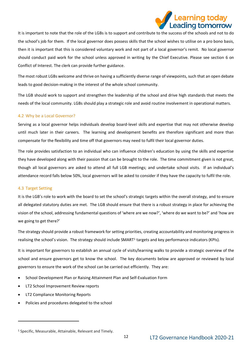

It is important to note that the role of the LGBs is to support and contribute to the success of the schools and not to do the school's job for them. If the local governor does possess skills that the school wishes to utilise on a pro bono basis, then it is important that this is considered voluntary work and not part of a local governor's remit. No local governor should conduct paid work for the school unless approved in writing by the Chief Executive. Please see section 6 on Conflict of Interest. The clerk can provide further guidance.

The most robust LGBs welcome and thrive on having a sufficiently diverse range of viewpoints, such that an open debate leads to good decision-making in the interest of the whole school community.

The LGB should work to support and strengthen the leadership of the school and drive high standards that meets the needs of the local community. LGBs should play a strategic role and avoid routine involvement in operational matters.

# 4.2 Why be a Local Governor?

Serving as a local governor helps individuals develop board-level skills and expertise that may not otherwise develop until much later in their careers. The learning and development benefits are therefore significant and more than compensate for the flexibility and time off that governors may need to fulfil their local governor duties.

The role provides satisfaction to an individual who can influence children's education by using the skills and expertise they have developed along with their passion that can be brought to the role. The time commitment given is not great, though all local governors are asked to attend all full LGB meetings; and undertake school visits. If an individual's attendance record falls below 50%, local governors will be asked to consider if they have the capacity to fulfil the role.

# 4.3 Target Setting

It is the LGB's role to work with the board to set the school's strategic targets within the overall strategy, and to ensure all delegated statutory duties are met. The LGB should ensure that there is a robust strategy in place for achieving the vision of the school, addressing fundamental questions of 'where are we now?', 'where do we want to be?' and 'how are we going to get there?'

The strategy should provide a robust framework for setting priorities, creating accountability and monitoring progress in realising the school's vision. The strategy should include SMART<sup>1</sup> targets and key performance indicators (KPIs).

It is important for governors to establish an annual cycle of visits/learning walks to provide a strategic overview of the school and ensure governors get to know the school. The key documents below are approved or reviewed by local governors to ensure the work of the school can be carried out efficiently. They are:

- School Development Plan or Raising Attainment Plan and Self-Evaluation Form
- LT2 School Improvement Review reports
- LT2 Compliance Monitoring Reports
- Policies and procedures delegated to the school

<sup>1</sup> Specific, Measurable, Attainable, Relevant and Timely.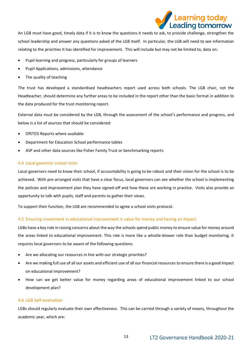

An LGB must have good, timely data if it is to know the questions it needs to ask, to provide challenge, strengthen the school leadership and answer any questions asked of the LGB itself. In particular, the LGB will need to see information relating to the priorities it has identified for improvement. This will include but may not be limited to, data on:

- Pupil learning and progress, particularly for groups of learners
- Pupil Applications, admissions, attendance
- The quality of teaching

The trust has developed a standardised headteachers report used across both schools. The LGB chair, not the Headteacher, should determine any further areas to be included in the report other than the basic format in addition to the data produced for the trust monitoring report.

External data must be considered by the LGB, through the assessment of the school's performance and progress, and below is a list of sources that should be considered:

- OfSTED Reports where available
- Department for Education School performance tables
- ASP and other data sources like Fisher Family Trust or benchmarking reports

# 4.4 Local governor school visits

Local governors need to know their school, if accountability is going to be robust and their vision for the school is to be achieved. With pre-arranged visits that have a clear focus, local governors can see whether the school is implementing the policies and improvement plan they have signed-off and how these are working in practice. Visits also provide an opportunity to talk with pupils, staff and parents to gather their views.

To support their function, the LGB are recommended to agree a school visits protocol.

# 4.5 Ensuring investment in educational improvement is value for money and having an impact

LGBs have a key role in raising concerns about the way the schools spend public money to ensure value for money around the areas linked to educational improvement. This role is more like a whistle-blower role than budget monitoring. It requires local governors to be aware of the following questions:

- Are we allocating our resources in line with our strategic priorities?
- Are we making full use of all our assets and efficient use of all our financial resources to ensure there is a good impact on educational improvement?
- How can we get better value for money regarding areas of educational improvement linked to our school development plan?

# 4.6 LGB Self-evaluation

LGBs should regularly evaluate their own effectiveness. This can be carried through a variety of means, throughout the academic year, which are: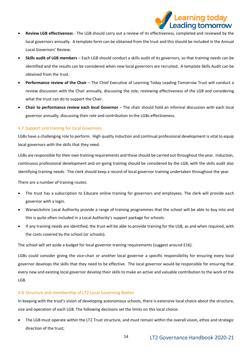

- **Review LGB effectiveness** The LGB should carry out a review of its effectiveness, completed and reviewed by the local governors annually. A template form can be obtained from the trust and this should be included in the Annual Local Governors' Review.
- **Skills audit of LGB members** Each LGB should conduct a skills audit of its governors, so that training needs can be identified and the results can be considered when new local governors are recruited. A template Skills Audit can be obtained from the trust.
- **Performance review of the Chair** The Chief Executive of Learning Today Leading Tomorrow Trust will conduct a review discussion with the Chair annually, discussing the role, reviewing effectiveness of the LGB and considering what the trust can do to support the Chair.
- **Chair to performance review each local Governor** The chair should hold an informal discussion with each local governor annually, discussing their role and contribution to the LGBs effectiveness.

# 4.7 Support and training for local Governors

LGBs have a challenging role to perform. High quality induction and continual professional development is vital to equip local governors with the skills that they need.

LGBs are responsible for their own training requirements and these should be carried out throughout the year. Induction, continuous professional development and on-going training should be considered by the LGB, with the skills audit also identifying training needs. The clerk should keep a record of local governor training undertaken throughout the year.

There are a number of training routes:

- The trust has a subscription to Educare online training for governors and employees. The clerk will provide each governor with a login.
- Warwickshire Local Authority provide a range of training programmes that the school will be able to buy into and this is quite often included in a Local Authority's support package for schools.
- If any training needs are identified, the trust will be able to provide training for the LGB, as and when required, with the costs covered by the school (or schools).

The school will set aside a budget for local governor training requirements (suggest around £1K).

LGBs could consider giving the vice-chair or another local governor a specific responsibility for ensuring every local governor develops the skills that they need to be effective. The local governor would be responsible for ensuring that every new and existing local governor develop their skills to make an active and valuable contribution to the work of the LGB.

# 4.8 Structure and membership of LT2 Local Governing Bodies

In keeping with the trust's vision of developing autonomous schools, there is extensive local choice about the structure, size and operation of each LGB. The following decisions set the limits on this local choice:

• The LGB must operate within the LT2 Trust structure, and must remain within the overall vision, ethos and strategic direction of the trust;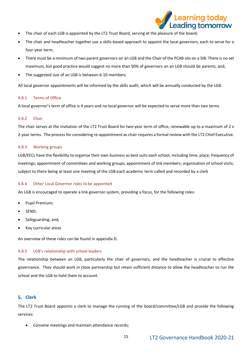

- The chair of each LGB is appointed by the LT2 Trust Board, serving at the pleasure of the board;
- The chair and headteacher together use a skills-based approach to appoint the local governors, each to serve for a four-year term;
- There must be a minimum of two parent governors on an LGB and the Chair of the PCAB sits on a SIB. There is no set maximum, but good practice would suggest no more than 50% of governors on an LGB should be parents; and,
- The suggested size of an LGB is between 6-10 members.

All local governor appointments will be informed by the skills audit, which will be annually conducted by the LGB.

# 4.8.1 Terms of Office

A local governor's term of office is 4 years and no local governor will be expected to serve more than two terms

# 4.8.2 Chair

The chair serves at the invitation of the LT2 Trust Board for two-year term of office, renewable up to a maximum of 2 x 2-year terms. The process for considering re-appointment as chair requires a formal review with the LT2 Chief Executive.

# 4.8.3 Working groups

LGB/EECs have the flexibility to organise their own business as best suits each school, including time; place; frequency of meetings; appointment of committees and working groups; appointment of link members; organisation of school visits; subject to there being at least one meeting of the LGB each academic term called and recorded by a clerk

# 4.8.4 Other Local Governor roles to be appointed

An LGB is encouraged to operate a link governor system, providing a focus, for the following roles:

- Pupil Premium;
- SEND;
- Safeguarding; and,
- Key curricular areas

An overview of these roles can be found in appendix D.

# 4.8.5 LGB's relationship with school leaders

The relationship between an LGB, particularly the chair of governors, and the headteacher is crucial to effective governance. They should work in close partnership but retain sufficient distance to allow the headteacher to run the school and the LGB to hold them to account.

# **Clerk**

The LT2 Trust Board appoints a clerk to manage the running of the board/committee/LGB and provide the following services:

• Convene meetings and maintain attendance records;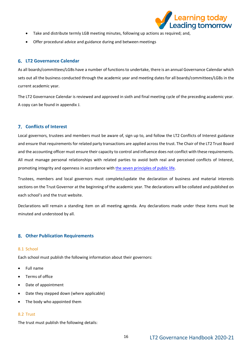

- Take and distribute termly LGB meeting minutes, following up actions as required; and,
- Offer procedural advice and guidance during and between meetings

# **LT2 Governance Calendar**

As all boards/committees/LGBs have a number of functions to undertake, there is an annual Governance Calendar which sets out all the business conducted through the academic year and meeting dates for all boards/committees/LGBs in the current academic year.

The LT2 Governance Calendar is reviewed and approved in sixth and final meeting cycle of the preceding academic year. A copy can be found in appendix J.

# **Conflicts of Interest**

Local governors, trustees and members must be aware of, sign up to, and follow the LT2 Conflicts of Interest guidance and ensure that requirements for related party transactions are applied across the trust. The Chair of the LT2 Trust Board and the accounting officer must ensure their capacity to control and influence does not conflict with these requirements. All must manage personal relationships with related parties to avoid both real and perceived conflicts of Interest, promoting integrity and openness in accordance wit[h the seven principles of public life.](https://www.gov.uk/government/publications/the-7-principles-of-public-life)

Trustees, members and local governors must complete/update the declaration of business and material interests sections on the Trust Governor at the beginning of the academic year. The declarations will be collated and published on each school's and the trust website.

Declarations will remain a standing item on all meeting agenda. Any declarations made under these items must be minuted and understood by all.

# **Other Publication Requirements**

# 8.1 School

Each school must publish the following information about their governors:

- Full name
- Terms of office
- Date of appointment
- Date they stepped down (where applicable)
- The body who appointed them

# 8.2 Trust

The trust must publish the following details: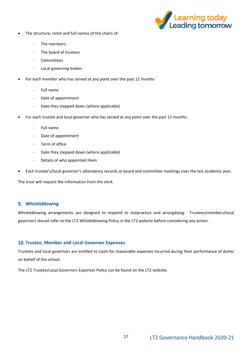

- The structure, remit and full names of the chairs of:
	- The members
	- The board of trustees
	- **Committees**
	- Local governing bodies
- For each member who has served at any point over the past 12 months
	- Full name
	- Date of appointment
	- Date they stepped down (where applicable)
- For each trustee and local governor who has served at any point over the past 12 months:
	- Full name
	- Date of appointment
	- Term of office
	- Date they stepped down (where applicable)
	- Details of who appointed them
- Each trustee's/local governor's attendance records at board and committee meetings over the last academic year.

The trust will request the information from the clerk.

# **Whistleblowing**

Whistleblowing arrangements are designed to respond to malpractice and wrongdoing. Trustees/members/local governors should refer to the LT2 Whistleblowing Policy in the LT2 website before considering any action.

# **Trustee, Member and Local Governor Expenses**

Trustees and local governors are entitled to claim for reasonable expenses incurred during their performance of duties on behalf of the school.

The LT2 Trustee/Local Governors Expenses Policy can be found on the LT2 website.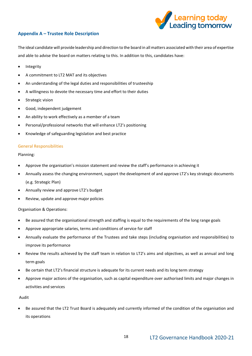

# **Appendix A – Trustee Role Description**

The ideal candidate will provide leadership and direction to the board in all matters associated with their area of expertise and able to advise the board on matters relating to this. In addition to this, candidates have:

- Integrity
- A commitment to LT2 MAT and its objectives
- An understanding of the legal duties and responsibilities of trusteeship
- A willingness to devote the necessary time and effort to their duties
- Strategic vision
- Good, independent judgement
- An ability to work effectively as a member of a team
- Personal/professional networks that will enhance LT2's positioning
- Knowledge of safeguarding legislation and best practice

# General Responsibilities

# Planning:

- Approve the organisation's mission statement and review the staff's performance in achieving it
- Annually assess the changing environment, support the development of and approve LT2's key strategic documents (e.g. Strategic Plan)
- Annually review and approve LT2's budget
- Review, update and approve major policies

# Organisation & Operations:

- Be assured that the organisational strength and staffing is equal to the requirements of the long range goals
- Approve appropriate salaries, terms and conditions of service for staff
- Annually evaluate the performance of the Trustees and take steps (including organisation and responsibilities) to improve its performance
- Review the results achieved by the staff team in relation to LT2's aims and objectives, as well as annual and long term goals
- Be certain that LT2's financial structure is adequate for its current needs and its long term strategy
- Approve major actions of the organisation, such as capital expenditure over authorised limits and major changes in activities and services

# Audit

• Be assured that the LT2 Trust Board is adequately and currently informed of the condition of the organisation and its operations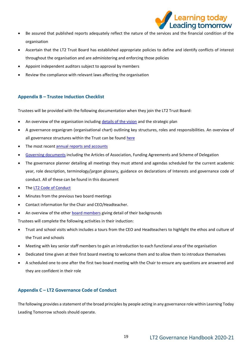

- Be assured that published reports adequately reflect the nature of the services and the financial condition of the organisation
- Ascertain that the LT2 Trust Board has established appropriate policies to define and identify conflicts of interest throughout the organisation and are administering and enforcing those policies
- Appoint independent auditors subject to approval by members
- Review the compliance with relevant laws affecting the organisation

# **Appendix B – Trustee Induction Checklist**

Trustees will be provided with the following documentation when they join the LT2 Trust Board:

- An overview of the organisation includin[g details of the vision](https://www.learningleading.org/vision-mission-values) and the strategic plan
- A governance organigram (organisational chart) outlining key structures, roles and responsibilities. An overview of all governance structures within the Trust can be found [here](https://www.learningleading.org/governance-structures)
- The most recen[t annual reports and accounts](https://www.learningleading.org/annual-reports-accounts)
- [Governing documents](https://www.learningleading.org/key-documents) including the Articles of Association, Funding Agreements and Scheme of Delegation
- The governance planner detailing all meetings they must attend and agendas scheduled for the current academic year, role description, terminology/jargon glossary, guidance on declarations of Interests and governance code of conduct. All of these can be found in this document
- The [LT2 Code of Conduct](https://www.learningleading.org/statutory-trust-policies)
- Minutes from the previous two board meetings
- Contact information for the Chair and CEO/Headteacher.
- An overview of the othe[r board members](https://www.learningleading.org/trustees) giving detail of their backgrounds

Trustees will complete the following activities in their induction:

- Trust and school visits which includes a tours from the CEO and Headteachers to highlight the ethos and culture of the Trust and schools
- Meeting with key senior staff members to gain an introduction to each functional area of the organisation
- Dedicated time given at their first board meeting to welcome them and to allow them to introduce themselves
- A scheduled one to one after the first two board meeting with the Chair to ensure any questions are answered and they are confident in their role

# **Appendix C – LT2 Governance Code of Conduct**

The following provides a statement of the broad principles by people acting in any governance role within Learning Today Leading Tomorrow schools should operate.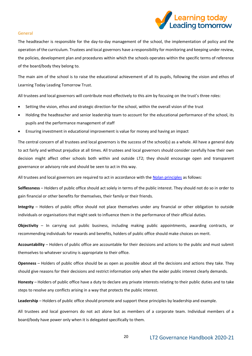

# General

The headteacher is responsible for the day-to-day management of the school, the implementation of policy and the operation of the curriculum. Trustees and local governors have a responsibility for monitoring and keeping under review, the policies, development plan and procedures within which the schools operates within the specific terms of reference of the board/body they belong to.

The main aim of the school is to raise the educational achievement of all its pupils, following the vision and ethos of Learning Today Leading Tomorrow Trust.

All trustees and local governors will contribute most effectively to this aim by focusing on the trust's three roles:

- Setting the vision, ethos and strategic direction for the school, within the overall vision of the trust
- Holding the headteacher and senior leadership team to account for the educational performance of the school, its pupils and the performance management of staff
- Ensuring investment in educational improvement is value for money and having an impact

The central concern of all trustees and local governors is the success of the school(s) as a whole. All have a general duty to act fairly and without prejudice at all times. All trustees and local governors should consider carefully how their own decision might affect other schools both within and outside LT2; they should encourage open and transparent governance or advisory role and should be seen to act in this way.

All trustees and local governors are required to act in accordance with th[e Nolan principles](https://www.gov.uk/government/publications/the-7-principles-of-public-life) as follows:

**Selflessness** – Holders of public office should act solely in terms of the public interest. They should not do so in order to gain financial or other benefits for themselves, their family or their friends.

**Integrity** – Holders of public office should not place themselves under any financial or other obligation to outside individuals or organisations that might seek to influence them in the performance of their official duties.

**Objectivity** – In carrying out public business, including making public appointments, awarding contracts, or recommending individuals for rewards and benefits, holders of public office should make choices on merit.

**Accountability** – Holders of public office are accountable for their decisions and actions to the public and must submit themselves to whatever scrutiny is appropriate to their office.

**Openness** – Holders of public office should be as open as possible about all the decisions and actions they take. They should give reasons for their decisions and restrict information only when the wider public interest clearly demands.

**Honesty** – Holders of public office have a duty to declare any private interests relating to their public duties and to take steps to resolve any conflicts arising in a way that protects the public interest.

**Leadership** – Holders of public office should promote and support these principles by leadership and example.

All trustees and local governors do not act alone but as members of a corporate team. Individual members of a board/body have power only when it is delegated specifically to them.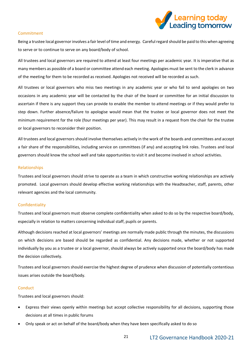

# Commitment

Being a trustee local governor involves a fair level of time and energy. Careful regard should be paid to this when agreeing to serve or to continue to serve on any board/body of school.

All trustees and local governors are required to attend at least four meetings per academic year. It is imperative that as many members as possible of a board or committee attend each meeting. Apologies must be sent to the clerk in advance of the meeting for them to be recorded as received. Apologies not received will be recorded as such.

All trustees or local governors who miss two meetings in any academic year or who fail to send apologies on two occasions in any academic year will be contacted by the chair of the board or committee for an initial discussion to ascertain if there is any support they can provide to enable the member to attend meetings or if they would prefer to step down. Further absence/failure to apologise would mean that the trustee or local governor does not meet the minimum requirement for the role (four meetings per year). This may result in a request from the chair for the trustee or local governors to reconsider their position.

All trustees and local governors should involve themselves actively in the work of the boards and committees and accept a fair share of the responsibilities, including service on committees (if any) and accepting link roles. Trustees and local governors should know the school well and take opportunities to visit it and become involved in school activities.

# Relationships

Trustees and local governors should strive to operate as a team in which constructive working relationships are actively promoted. Local governors should develop effective working relationships with the Headteacher, staff, parents, other relevant agencies and the local community.

# Confidentiality

Trustees and local governors must observe complete confidentiality when asked to do so by the respective board/body, especially in relation to matters concerning individual staff, pupils or parents.

Although decisions reached at local governors' meetings are normally made public through the minutes, the discussions on which decisions are based should be regarded as confidential. Any decisions made, whether or not supported individually by you as a trustee or a local governor, should always be actively supported once the board/body has made the decision collectively.

Trustees and local governors should exercise the highest degree of prudence when discussion of potentially contentious issues arises outside the board/body.

# **Conduct**

Trustees and local governors should:

- Express their views openly within meetings but accept collective responsibility for all decisions, supporting those decisions at all times in public forums
- Only speak or act on behalf of the board/body when they have been specifically asked to do so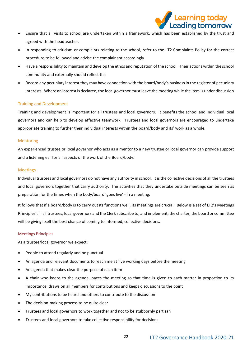

- Ensure that all visits to school are undertaken within a framework, which has been established by the trust and agreed with the headteacher.
- In responding to criticism or complaints relating to the school, refer to the LT2 Complaints Policy for the correct procedure to be followed and advise the complainant accordingly
- Have a responsibility to maintain and develop the ethos and reputation of the school. Their actions within the school community and externally should reflect this
- Record any pecuniary interest they may have connection with the board/body's business in the register of pecuniary interests. Where an interest is declared, the local governor must leave the meeting while the item is under discussion

# Training and Development

Training and development is important for all trustees and local governors. It benefits the school and individual local governors and can help to develop effective teamwork. Trustees and local governors are encouraged to undertake appropriate training to further their individual interests within the board/body and its' work as a whole.

# Mentoring

An experienced trustee or local governor who acts as a mentor to a new trustee or local governor can provide support and a listening ear for all aspects of the work of the Board/body.

# Meetings

Individual trustees and local governors do not have any authority in school. It is the collective decisions of all the trustees and local governors together that carry authority. The activities that they undertake outside meetings can be seen as preparation for the times when the body/board 'goes live' - in a meeting.

It follows that if a board/body is to carry out its functions well, its meetings are crucial. Below is a set of LT2's Meetings Principles'. If all trustees, local governors and the Clerk subscribe to, and implement, the charter, the board or committee will be giving itself the best chance of coming to informed, collective decisions.

# Meetings Principles

As a trustee/local governor we expect:

- People to attend regularly and be punctual
- An agenda and relevant documents to reach me at five working days before the meeting
- An agenda that makes clear the purpose of each item
- A chair who keeps to the agenda, paces the meeting so that time is given to each matter in proportion to its importance, draws on all members for contributions and keeps discussions to the point
- My contributions to be heard and others to contribute to the discussion
- The decision-making process to be quite clear
- Trustees and local governors to work together and not to be stubbornly partisan
- Trustees and local governors to take collective responsibility for decisions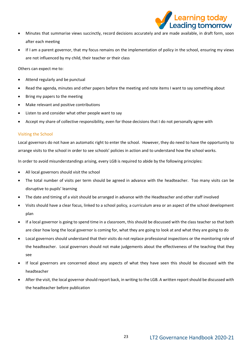

- Minutes that summarise views succinctly, record decisions accurately and are made available, in draft form, soon after each meeting
- If I am a parent governor, that my focus remains on the implementation of policy in the school, ensuring my views are not influenced by my child, their teacher or their class

Others can expect me to:

- Attend regularly and be punctual
- Read the agenda, minutes and other papers before the meeting and note items I want to say something about
- Bring my papers to the meeting
- Make relevant and positive contributions
- Listen to and consider what other people want to say
- Accept my share of collective responsibility, even for those decisions that I do not personally agree with

# Visiting the School

Local governors do not have an automatic right to enter the school. However, they do need to have the opportunity to arrange visits to the school in order to see schools' policies in action and to understand how the school works.

In order to avoid misunderstandings arising, every LGB is required to abide by the following principles:

- All local governors should visit the school
- The total number of visits per term should be agreed in advance with the headteacher. Too many visits can be disruptive to pupils' learning
- The date and timing of a visit should be arranged in advance with the Headteacher and other staff involved
- Visits should have a clear focus, linked to a school policy, a curriculum area or an aspect of the school development plan
- If a local governor is going to spend time in a classroom, this should be discussed with the class teacher so that both are clear how long the local governor is coming for, what they are going to look at and what they are going to do
- Local governors should understand that their visits do not replace professional inspections or the monitoring role of the headteacher. Local governors should not make judgements about the effectiveness of the teaching that they see
- If local governors are concerned about any aspects of what they have seen this should be discussed with the headteacher
- After the visit, the local governor should report back, in writing to the LGB. A written report should be discussed with the headteacher before publication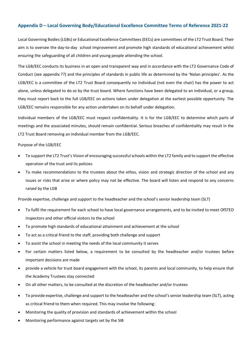# **Appendix D – Local Governing Body/Educational Excellence Committee Terms of Reference 2021-22**

Local Governing Bodies (LGBs) or Educational Excellence Committees (EECs) are committees of the LT2 Trust Board. Their aim is to oversee the day-to-day school improvement and promote high standards of educational achievement whilst ensuring the safeguarding of all children and young people attending the school.

The LGB/EEC conducts its business in an open and transparent way and in accordance with the LT2 Governance Code of Conduct (see appendix ??) and the principles of standards in public life as determined by the 'Nolan principles'. As the LGB/EEC is a committee of the LT2 Trust Board consequently no individual (not even the chair) has the power to act alone, unless delegated to do so by the trust board. Where functions have been delegated to an individual, or a group, they must report back to the full LGB/EEC on actions taken under delegation at the earliest possible opportunity. The LGB/EEC remains responsible for any action undertaken on its behalf under delegation.

Individual members of the LGB/EEC must respect confidentiality. It is for the LGB/EEC to determine which parts of meetings and the associated minutes, should remain confidential. Serious breaches of confidentiality may result in the LT2 Trust Board removing an individual member from the LGB/EEC.

Purpose of the LGB/EEC

- To support the LT2 Trust's Vision of encouraging successful schools within the LT2 family and to support the effective operation of the trust and its policies
- To make recommendations to the trustees about the ethos, vision and strategic direction of the school and any issues or risks that arise or where policy may not be effective. The board will listen and respond to any concerns raised by the LGB

Provide expertise, challenge and support to the headteacher and the school's senior leadership team (SLT)

- To fulfil the requirement for each school to have local governance arrangements, and to be invited to meet OfSTED inspectors and other official visitors to the school
- To promote high standards of educational attainment and achievement at the school
- To act as a critical friend to the staff, providing both challenge and support
- To assist the school in meeting the needs of the local community it serves
- For certain matters listed below, a requirement to be consulted by the headteacher and/or trustees before important decisions are made
- provide a vehicle for trust board engagement with the school, its parents and local community, to help ensure that the Academy Trustees stay connected
- On all other matters, to be consulted at the discretion of the headteacher and/or trustees
- To provide expertise, challenge and support to the headteacher and the school's senior leadership team (SLT), acting as critical friend to them when required. This may involve the following:
- Monitoring the quality of provision and standards of achievement within the school
- Monitoring performance against targets set by the SIB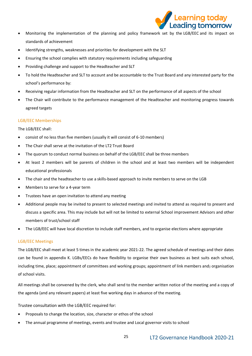

- Monitoring the implementation of the planning and policy framework set by the LGB/EEC and its impact on standards of achievement
- Identifying strengths, weaknesses and priorities for development with the SLT
- Ensuring the school complies with statutory requirements including safeguarding
- Providing challenge and support to the Headteacher and SLT
- To hold the Headteacher and SLT to account and be accountable to the Trust Board and any interested party for the school's performance by:
- Receiving regular information from the Headteacher and SLT on the performance of all aspects of the school
- The Chair will contribute to the performance management of the Headteacher and monitoring progress towards agreed targets

# LGB/EEC Memberships

The LGB/EEC shall:

- consist of no less than five members (usually it will consist of 6-10 members)
- The Chair shall serve at the invitation of the LT2 Trust Board
- The quorum to conduct normal business on behalf of the LGB/EEC shall be three members
- At least 2 members will be parents of children in the school and at least two members will be independent educational professionals
- The chair and the headteacher to use a skills-based approach to invite members to serve on the LGB
- Members to serve for a 4-year term
- Trustees have an open invitation to attend any meeting
- Additional people may be invited to present to selected meetings and invited to attend as required to present and discuss a specific area. This may include but will not be limited to external School improvement Advisors and other members of trust/school staff
- The LGB/EEC will have local discretion to include staff members, and to organise elections where appropriate

# LGB/EEC Meetings

The LGB/EEC shall meet at least 5 times in the academic year 2021-22. The agreed schedule of meetings and their dates can be found in appendix K. LGBs/EECs do have flexibility to organise their own business as best suits each school, including time, place; appointment of committees and working groups; appointment of link members and; organisation of school visits.

All meetings shall be convened by the clerk, who shall send to the member written notice of the meeting and a copy of the agenda (and any relevant papers) at least five working days in advance of the meeting.

Trustee consultation with the LGB/EEC required for:

- Proposals to change the location, size, character or ethos of the school
- The annual programme of meetings, events and trustee and Local governor visits to school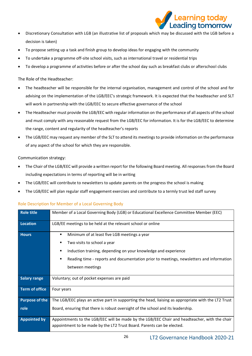

- Discretionary Consultation with LGB (an illustrative list of proposals which may be discussed with the LGB before a decision is taken)
- To propose setting up a task and finish group to develop ideas for engaging with the community
- To undertake a programme off-site school visits, such as international travel or residential trips
- To develop a programme of activities before or after the school day such as breakfast clubs or afterschool clubs

# The Role of the Headteacher:

- The headteacher will be responsible for the internal organisation, management and control of the school and for advising on the implementation of the LGB/EEC's strategic framework. It is expected that the headteacher and SLT will work in partnership with the LGB/EEC to secure effective governance of the school
- The Headteacher must provide the LGB/EEC with regular information on the performance of all aspects of the school and must comply with any reasonable request from the LGB/EEC for information. It is for the LGB/EEC to determine the range, content and regularity of the headteacher's reports
- The LGB/EEC may request any member of the SLT to attend its meetings to provide information on the performance of any aspect of the school for which they are responsible.

# Communication strategy:

- The Chair of the LGB/EEC will provide a written report for the following Board meeting. All responses from the Board including expectations in terms of reporting will be in writing
- The LGB/EEC will contribute to newsletters to update parents on the progress the school is making
- The LGB/EEC will plan regular staff engagement exercises and contribute to a termly trust led staff survey

# Role Description for Member of a Local Governing Body

| <b>Role title</b>     | Member of a Local Governing Body (LGB) or Educational Excellence Committee Member (EEC)             |  |  |  |  |  |  |  |  |
|-----------------------|-----------------------------------------------------------------------------------------------------|--|--|--|--|--|--|--|--|
| Location              | LGB/EE meetings to be held at the relevant school or online                                         |  |  |  |  |  |  |  |  |
| <b>Hours</b>          | Minimum of at least five LGB meetings a year<br>п                                                   |  |  |  |  |  |  |  |  |
|                       | Two visits to school a year                                                                         |  |  |  |  |  |  |  |  |
|                       | Induction training, depending on your knowledge and experience                                      |  |  |  |  |  |  |  |  |
|                       | Reading time - reports and documentation prior to meetings, newsletters and information<br>п        |  |  |  |  |  |  |  |  |
|                       | between meetings                                                                                    |  |  |  |  |  |  |  |  |
| <b>Salary range</b>   | Voluntary; out of pocket expenses are paid                                                          |  |  |  |  |  |  |  |  |
| <b>Term of office</b> | Four years                                                                                          |  |  |  |  |  |  |  |  |
| <b>Purpose of the</b> | The LGB/EEC plays an active part in supporting the head, liaising as appropriate with the LT2 Trust |  |  |  |  |  |  |  |  |
| role                  | Board, ensuring that there is robust oversight of the school and its leadership.                    |  |  |  |  |  |  |  |  |
| <b>Appointed by</b>   | Appointments to the LGB/EEC will be made by the LGB/EEC Chair and headteacher, with the chair       |  |  |  |  |  |  |  |  |
|                       | appointment to be made by the LT2 Trust Board. Parents can be elected.                              |  |  |  |  |  |  |  |  |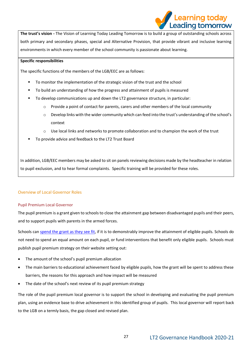**The trust's vision -** The Vision of Learning Today Leading Tomorrow is to build a group of outstanding schools across both primary and secondary phases, special and Alternative Provision, that provide vibrant and inclusive learning environments in which every member of the school community is passionate about learning.

# **Specific responsibilities**

The specific functions of the members of the LGB/EEC are as follows:

- To monitor the implementation of the strategic vision of the trust and the school
- To build an understanding of how the progress and attainment of pupils is measured
- To develop communications up and down the LT2 governance structure, in particular:
	- $\circ$  Provide a point of contact for parents, carers and other members of the local community
	- o Develop links with the wider community which can feed into the trust's understanding of the school's context
	- o Use local links and networks to promote collaboration and to champion the work of the trust
- To provide advice and feedback to the LT2 Trust Board

In addition, LGB/EEC members may be asked to sit on panels reviewing decisions made by the headteacher in relation to pupil exclusion, and to hear formal complaints. Specific training will be provided for these roles.

# Overview of Local Governor Roles

# Pupil Premium Local Governor

The pupil premium is a grant given to schools to close the attainment gap between disadvantaged pupils and their peers, and to support pupils with parents in the armed forces.

Schools can [spend the grant as they see fit,](https://schoolleaders.thekeysupport.com/administration-and-management/la-funds/grants-and-pupil-premium/pupil-premium-grant-terms-of-allocation-to-schools/?marker=content-body) if it is to demonstrably improve the attainment of eligible pupils. Schools do not need to spend an equal amount on each pupil, or fund interventions that benefit only eligible pupils. Schools must publish pupil premium strategy on their website setting out:

- The amount of the school's pupil premium allocation
- The main barriers to educational achievement faced by eligible pupils, how the grant will be spent to address these barriers, the reasons for this approach and how impact will be measured
- The date of the school's next review of its pupil premium strategy

The role of the pupil premium local governor is to support the school in developing and evaluating the pupil premium plan, using an evidence base to drive achievement in this identified group of pupils. This local governor will report back to the LGB on a termly basis, the gap closed and revised plan.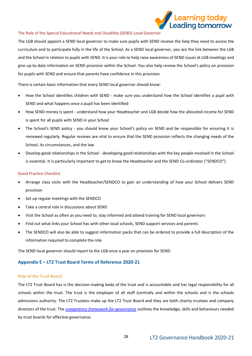

# The Role of the Special Educational Needs and Disability (SEND) Local Governor

The LGB should appoint a SEND local governor to make sure pupils with SEND receive the help they need to access the curriculum and to participate fully in the life of the School. As a SEND local governor, you are the link between the LGB and the School in relation to pupils with SEND. It is your role to help raise awareness of SEND issues at LGB meetings and give up-to-date information on SEND provision within the School. You also help review the School's policy on provision for pupils with SEND and ensure that parents have confidence in this provision.

There is certain basic information that every SEND local governor should know:

- How the School identifies children with SEND make sure you understand how the School identifies a pupil with SEND and what happens once a pupil has been identified
- How SEND money is spent understand how your Headteacher and LGB decide how the allocated income for SEND is spent for all pupils with SEND in your School
- The School's SEND policy you should know your School's policy on SEND and be responsible for ensuring it is reviewed regularly. Regular reviews are vital to ensure that the SEND provision reflects the changing needs of the School, its circumstances, and the law
- Develop good relationships in the School developing good relationships with the key people involved in the School is essential. It is particularly important to get to know the Headteacher and the SEND Co-ordinator ("SENDCO")

# Good Practice Checklist

- Arrange class visits with the Headteacher/SENDCO to gain an understanding of how your School delivers SEND provision
- Set up regular meetings with the SENDCO
- Take a central role in discussions about SEND
- Visit the School as often as you need to, stay informed and attend training for SEND local governors
- Find out what links your School has with other local schools, SEND support services and parents
- The SENDCO will also be able to suggest information packs that can be ordered to provide a full description of the information required to complete the role

The SEND local governor should report to the LGB once a year on provision for SEND.

# **Appendix E – LT2 Trust Board Terms of Reference 2020-21**

#### Role of the Trust Board

The LT2 Trust Board has is the decision-making body of the trust and is accountable and has legal responsibility for all schools within the trust. The trust is the employer of all staff (centrally and within the schools and is the schools admissions authority. The LT2 Trustees make up the LT2 Trust Board and they are both charity trustees and company directors of the trust. The *[competency framework for governance](https://assets.publishing.service.gov.uk/government/uploads/system/uploads/attachment_data/file/583733/Competency_framework_for_governance_.pdf)* outlines the knowledge, skills and behaviours needed by trust boards for effective governance.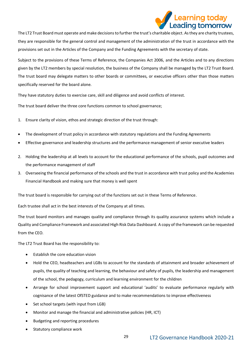

The LT2 Trust Board must operate and make decisions to further the trust's charitable object. As they are charity trustees, they are responsible for the general control and management of the administration of the trust in accordance with the provisions set out in the Articles of the Company and the Funding Agreements with the secretary of state.

Subject to the provisions of these Terms of Reference, the Companies Act 2006, and the Articles and to any directions given by the LT2 members by special resolution, the business of the Company shall be managed by the LT2 Trust Board. The trust board may delegate matters to other boards or committees, or executive officers other than those matters specifically reserved for the board alone.

They have statutory duties to exercise care, skill and diligence and avoid conflicts of interest.

The trust board deliver the three core functions common to school governance;

- 1. Ensure clarity of vision, ethos and strategic direction of the trust through:
- The development of trust policy in accordance with statutory regulations and the Funding Agreements
- Effective governance and leadership structures and the performance management of senior executive leaders
- 2. Holding the leadership at all levels to account for the educational performance of the schools, pupil outcomes and the performance management of staff
- 3. Overseeing the financial performance of the schools and the trust in accordance with trust policy and the Academies Financial Handbook and making sure that money is well spent

The trust board is responsible for carrying out of the functions set out in these Terms of Reference.

Each trustee shall act in the best interests of the Company at all times.

The trust board monitors and manages quality and compliance through its quality assurance systems which include a Quality and Compliance Framework and associated High Risk Data Dashboard. A copy of the framework can be requested from the CEO.

The LT2 Trust Board has the responsibility to:

- Establish the core education vision
- Hold the CEO, headteachers and LGBs to account for the standards of attainment and broader achievement of pupils, the quality of teaching and learning, the behaviour and safety of pupils, the leadership and management of the school, the pedagogy, curriculum and learning environment for the children
- Arrange for school improvement support and educational 'audits' to evaluate performance regularly with cognisance of the latest OfSTED guidance and to make recommendations to improve effectiveness
- Set school targets (with input from LGB)
- Monitor and manage the financial and administrative policies (HR, ICT)
- Budgeting and reporting procedures
- Statutory compliance work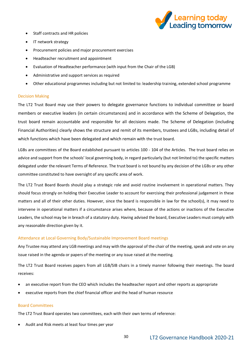

- Staff contracts and HR policies
- IT network strategy
- Procurement policies and major procurement exercises
- Headteacher recruitment and appointment
- Evaluation of Headteacher performance (with input from the Chair of the LGB)
- Administrative and support services as required
- Other educational programmes including but not limited to: leadership training, extended school programme

#### Decision Making

The LT2 Trust Board may use their powers to delegate governance functions to individual committee or board members or executive leaders (in certain circumstances) and in accordance with the Scheme of Delegation, the trust board remain accountable and responsible for all decisions made. The Scheme of Delegation (including Financial Authorities) clearly shows the structure and remit of its members, trustees and LGBs, including detail of which functions which have been delegated and which remain with the trust board.

LGBs are committees of the Board established pursuant to articles 100 - 104 of the Articles. The trust board relies on advice and support from the schools' local governing body, in regard particularly (but not limited to) the specific matters delegated under the relevant Terms of Reference. The trust board is not bound by any decision of the LGBs or any other committee constituted to have oversight of any specific area of work.

The LT2 Trust Board Boards should play a strategic role and avoid routine involvement in operational matters. They should focus strongly on holding their Executive Leader to account for exercising their professional judgement in these matters and all of their other duties. However, since the board is responsible in law for the school(s), it may need to intervene in operational matters if a circumstance arises where, because of the actions or inactions of the Executive Leaders, the school may be in breach of a statutory duty. Having advised the board, Executive Leaders must comply with any reasonable direction given by it.

# Attendance at Local Governing Body/Sustainable Improvement Board meetings

Any Trustee may attend any LGB meetings and may with the approval of the chair of the meeting, speak and vote on any issue raised in the agenda or papers of the meeting or any issue raised at the meeting.

The LT2 Trust Board receives papers from all LGB/SIB chairs in a timely manner following their meetings. The board receives:

- an executive report from the CEO which includes the headteacher report and other reports as appropriate
- executive reports from the chief financial officer and the head of human resource

# Board Committees

The LT2 Trust Board operates two committees, each with their own terms of reference:

• Audit and Risk meets at least four times per year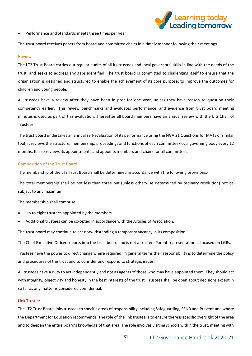

• Performance and Standards meets three times per year

The trust board receives papers from board and committee chairs in a timely manner following their meetings.

#### Review

The LT2 Trust Board carries out regular audits of all its trustees and local governors' skills in line with the needs of the trust, and seeks to address any gaps identified. The trust board is committed to challenging itself to ensure that the organisation is designed and structured to enable the achievement of its core purpose; to improve the outcomes for children and young people.

All trustees have a review after they have been in post for one year, unless they have reason to question their competency earlier. This review benchmarks and evaluates performance, and evidence from trust board meeting minutes is used as part of this evaluation. Thereafter all board members have an annual review with the LT2 Chair of Trustees.

The trust board undertakes an annual self-evaluation of its performance using the NGA 21 Questions for MATs or similar tool; it reviews the structure, membership, proceedings and functions of each committee/local governing body every 12 months. It also reviews its appointments and appoints members and chairs for all committees.

#### Composition of the Trust Board

The membership of the LT2 Trust Board shall be determined in accordance with the following provisions:-

The total membership shall be not less than three but (unless otherwise determined by ordinary resolution) not be subject to any maximum

The membership shall comprise:

- Up to eight trustees appointed by the members
- Additional trustees can be co-opted in accordance with the Articles of Association.

The trust board may continue to act notwithstanding a temporary vacancy in its composition.

The Chief Executive Officer reports into the trust board and is not a trustee. Parent representation is focused on LGBs.

Trustees have the power to direct change where required. In general terms their responsibility is to determine the policy and procedures of the trust and to consider and respond to strategic issues.

All trustees have a duty to act independently and not as agents of those who may have appointed them. They should act with integrity, objectivity and honesty in the best interests of the trust. Trustees shall be open about decisions except in so far as any matter is considered confidential.

#### Link Trustee

The LT2 Trust Board links trustees to specific areas of responsibility including Safeguarding, SEND and Prevent and where the Department for Education recommends. The role of the link trustee is to ensure there is specific oversight of the area and to deepen the entire board's knowledge of that area. The role involves visiting schools within the trust, meeting with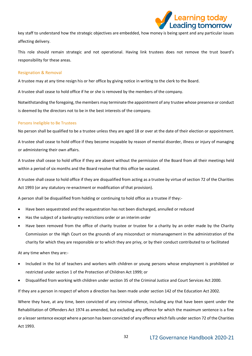

key staff to understand how the strategic objectives are embedded, how money is being spent and any particular issues affecting delivery.

This role should remain strategic and not operational. Having link trustees does not remove the trust board's responsibility for these areas.

#### Resignation & Removal

A trustee may at any time resign his or her office by giving notice in writing to the clerk to the Board.

A trustee shall cease to hold office if he or she is removed by the members of the company.

Notwithstanding the foregoing, the members may terminate the appointment of any trustee whose presence or conduct is deemed by the directors not to be in the best interests of the company.

#### Persons Ineligible to Be Trustees

No person shall be qualified to be a trustee unless they are aged 18 or over at the date of their election or appointment.

A trustee shall cease to hold office if they become incapable by reason of mental disorder, illness or injury of managing or administering their own affairs.

A trustee shall cease to hold office if they are absent without the permission of the Board from all their meetings held within a period of six months and the Board resolve that this office be vacated.

A trustee shall cease to hold office if they are disqualified from acting as a trustee by virtue of section 72 of the Charities Act 1993 (or any statutory re-enactment or modification of that provision).

A person shall be disqualified from holding or continuing to hold office as a trustee if they:-

- Have been sequestrated and the sequestration has not been discharged, annulled or reduced
- Has the subject of a bankruptcy restrictions order or an interim order
- Have been removed from the office of charity trustee or trustee for a charity by an order made by the Charity Commission or the High Court on the grounds of any misconduct or mismanagement in the administration of the charity for which they are responsible or to which they are privy, or by their conduct contributed to or facilitated

At any time when they are:-

- Included in the list of teachers and workers with children or young persons whose employment is prohibited or restricted under section 1 of the Protection of Children Act 1999; or
- Disqualified from working with children under section 35 of the Criminal Justice and Court Services Act 2000.

If they are a person in respect of whom a direction has been made under section 142 of the Education Act 2002.

Where they have, at any time, been convicted of any criminal offence, including any that have been spent under the Rehabilitation of Offenders Act 1974 as amended, but excluding any offence for which the maximum sentence is a fine or a lesser sentence except where a person has been convicted of any offence which falls under section 72 of the Charities Act 1993.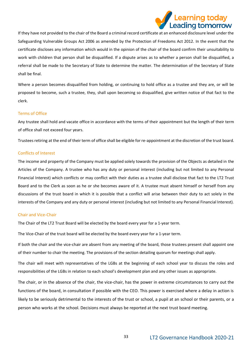

If they have not provided to the chair of the Board a criminal record certificate at an enhanced disclosure level under the Safeguarding Vulnerable Groups Act 2006 as amended by the Protection of Freedoms Act 2012. In the event that the certificate discloses any information which would in the opinion of the chair of the board confirm their unsuitability to work with children that person shall be disqualified. If a dispute arises as to whether a person shall be disqualified, a referral shall be made to the Secretary of State to determine the matter. The determination of the Secretary of State shall be final.

Where a person becomes disqualified from holding, or continuing to hold office as a trustee and they are, or will be proposed to become, such a trustee, they, shall upon becoming so disqualified, give written notice of that fact to the clerk.

#### Terms of Office

Any trustee shall hold and vacate office in accordance with the terms of their appointment but the length of their term of office shall not exceed four years.

Trustees retiring at the end of their term of office shall be eligible for re-appointment at the discretion of the trust board.

#### Conflicts of Interest

The income and property of the Company must be applied solely towards the provision of the Objects as detailed in the Articles of the Company. A trustee who has any duty or personal interest (including but not limited to any Personal Financial Interest) which conflicts or may conflict with their duties as a trustee shall disclose that fact to the LT2 Trust Board and to the Clerk as soon as he or she becomes aware of it. A trustee must absent himself or herself from any discussions of the trust board in which it is possible that a conflict will arise between their duty to act solely in the interests of the Company and any duty or personal interest (including but not limited to any Personal Financial Interest).

#### Chair and Vice-Chair

The Chair of the LT2 Trust Board will be elected by the board every year for a 1-year term.

The Vice-Chair of the trust board will be elected by the board every year for a 1-year term.

If both the chair and the vice-chair are absent from any meeting of the board, those trustees present shall appoint one of their number to chair the meeting. The provisions of the section detailing quorum for meetings shall apply.

The chair will meet with representatives of the LGBs at the beginning of each school year to discuss the roles and responsibilities of the LGBs in relation to each school's development plan and any other issues as appropriate.

The chair, or in the absence of the chair, the vice-chair, has the power in extreme circumstances to carry out the functions of the board, in consultation if possible with the CEO. This power is exercised where a delay in action is likely to be seriously detrimental to the interests of the trust or school, a pupil at an school or their parents, or a person who works at the school. Decisions must always be reported at the next trust board meeting.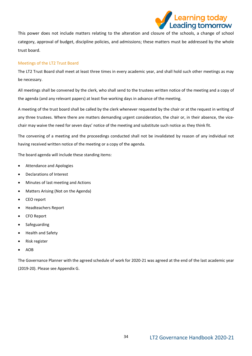

This power does not include matters relating to the alteration and closure of the schools, a change of school category, approval of budget, discipline policies, and admissions; these matters must be addressed by the whole trust board.

# Meetings of the LT2 Trust Board

The LT2 Trust Board shall meet at least three times in every academic year, and shall hold such other meetings as may be necessary.

All meetings shall be convened by the clerk, who shall send to the trustees written notice of the meeting and a copy of the agenda (and any relevant papers) at least five working days in advance of the meeting.

A meeting of the trust board shall be called by the clerk whenever requested by the chair or at the request in writing of any three trustees. Where there are matters demanding urgent consideration, the chair or, in their absence, the vicechair may waive the need for seven days' notice of the meeting and substitute such notice as they think fit.

The convening of a meeting and the proceedings conducted shall not be invalidated by reason of any individual not having received written notice of the meeting or a copy of the agenda.

The board agenda will include these standing items:

- Attendance and Apologies
- Declarations of Interest
- Minutes of last meeting and Actions
- Matters Arising (Not on the Agenda)
- CEO report
- Headteachers Report
- CFO Report
- Safeguarding
- Health and Safety
- Risk register
- AOB

The Governance Planner with the agreed schedule of work for 2020-21 was agreed at the end of the last academic year (2019-20). Please see Appendix G.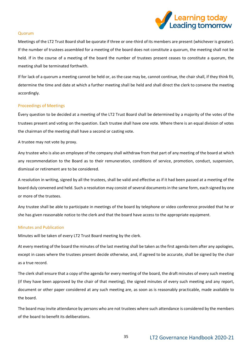

#### Quorum

Meetings of the LT2 Trust Board shall be quorate if three or one-third of its members are present (whichever is greater). If the number of trustees assembled for a meeting of the board does not constitute a quorum, the meeting shall not be held. If in the course of a meeting of the board the number of trustees present ceases to constitute a quorum, the meeting shall be terminated forthwith.

If for lack of a quorum a meeting cannot be held or, as the case may be, cannot continue, the chair shall, if they think fit, determine the time and date at which a further meeting shall be held and shall direct the clerk to convene the meeting accordingly.

# Proceedings of Meetings

Every question to be decided at a meeting of the LT2 Trust Board shall be determined by a majority of the votes of the trustees present and voting on the question. Each trustee shall have one vote. Where there is an equal division of votes the chairman of the meeting shall have a second or casting vote.

A trustee may not vote by proxy.

Any trustee who is also an employee of the company shall withdraw from that part of any meeting of the board at which any recommendation to the Board as to their remuneration, conditions of service, promotion, conduct, suspension, dismissal or retirement are to be considered.

A resolution in writing, signed by all the trustees, shall be valid and effective as if it had been passed at a meeting of the board duly convened and held. Such a resolution may consist of several documents in the same form, each signed by one or more of the trustees.

Any trustee shall be able to participate in meetings of the board by telephone or video conference provided that he or she has given reasonable notice to the clerk and that the board have access to the appropriate equipment.

#### Minutes and Publication

Minutes will be taken of every LT2 Trust Board meeting by the clerk.

At every meeting of the board the minutes of the last meeting shall be taken as the first agenda item after any apologies, except in cases where the trustees present decide otherwise, and, if agreed to be accurate, shall be signed by the chair as a true record.

The clerk shall ensure that a copy of the agenda for every meeting of the board, the draft minutes of every such meeting (if they have been approved by the chair of that meeting), the signed minutes of every such meeting and any report, document or other paper considered at any such meeting are, as soon as is reasonably practicable, made available to the board.

The board may invite attendance by persons who are not trustees where such attendance is considered by the members of the board to benefit its deliberations.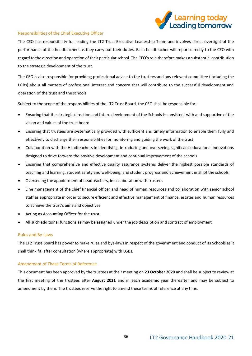

# Responsibilities of the Chief Executive Officer

The CEO has responsibility for leading the LT2 Trust Executive Leadership Team and involves direct oversight of the performance of the headteachers as they carry out their duties. Each headteacher will report directly to the CEO with regard to the direction and operation of their particular school. The CEO's role therefore makes a substantial contribution to the strategic development of the trust.

The CEO is also responsible for providing professional advice to the trustees and any relevant committee (including the LGBs) about all matters of professional interest and concern that will contribute to the successful development and operation of the trust and the schools.

Subject to the scope of the responsibilities of the LT2 Trust Board, the CEO shall be responsible for:-

- Ensuring that the strategic direction and future development of the Schools is consistent with and supportive of the vision and values of the trust board
- Ensuring that trustees are systematically provided with sufficient and timely information to enable them fully and effectively to discharge their responsibilities for monitoring and guiding the work of the trust
- Collaboration with the Headteachers in identifying, introducing and overseeing significant educational innovations designed to drive forward the positive development and continual improvement of the schools
- Ensuring that comprehensive and effective quality assurance systems deliver the highest possible standards of teaching and learning, student safety and well-being, and student progress and achievement in all of the schools
- Overseeing the appointment of headteachers, in collaboration with trustees
- Line management of the chief financial officer and head of human resources and collaboration with senior school staff as appropriate in order to secure efficient and effective management of finance, estates and human resources to achieve the trust's aims and objectives
- Acting as Accounting Officer for the trust
- All such additional functions as may be assigned under the job description and contract of employment

# Rules and By-Laws

The LT2 Trust Board has power to make rules and bye-laws in respect of the government and conduct of its Schools as it shall think fit, after consultation (where appropriate) with LGBs.

# Amendment of These Terms of Reference

This document has been approved by the trustees at their meeting on **23 October 2020** and shall be subject to review at the first meeting of the trustees after **August 2021** and in each academic year thereafter and may be subject to amendment by them. The trustees reserve the right to amend these terms of reference at any time.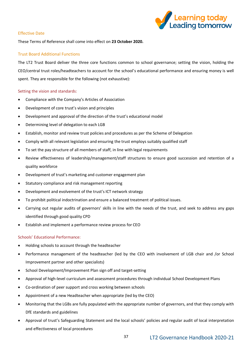

# Effective Date

These Terms of Reference shall come into effect on **23 October 2020.**

# Trust Board Additional Functions

The LT2 Trust Board deliver the three core functions common to school governance; setting the vision, holding the CEO/central trust roles/headteachers to account for the school's educational performance and ensuring money is well spent. They are responsible for the following (not exhaustive):

# Setting the vision and standards:

- Compliance with the Company's Articles of Association
- Development of core trust's vision and principles
- Development and approval of the direction of the trust's educational model
- Determining level of delegation to each LGB
- Establish, monitor and review trust policies and procedures as per the Scheme of Delegation
- Comply with all relevant legislation and ensuring the trust employs suitably qualified staff
- To set the pay structure of all members of staff, in line with legal requirements
- Review effectiveness of leadership/management/staff structures to ensure good succession and retention of a quality workforce
- Development of trust's marketing and customer engagement plan
- Statutory compliance and risk management reporting
- Development and evolvement of the trust's ICT network strategy
- To prohibit political indoctrination and ensure a balanced treatment of political issues.
- Carrying out regular audits of governors' skills in line with the needs of the trust, and seek to address any gaps identified through good quality CPD
- Establish and implement a performance review process for CEO

# Schools' Educational Performance:

- Holding schools to account through the headteacher
- Performance management of the headteacher (led by the CEO with involvement of LGB chair and /or School Improvement partner and other specialists)
- School Development/Improvement Plan sign off and target-setting
- Approval of high-level curriculum and assessment procedures through individual School Development Plans
- Co-ordination of peer support and cross working between schools
- Appointment of a new Headteacher when appropriate (led by the CEO)
- Monitoring that the LGBs are fully populated with the appropriate number of governors, and that they comply with DfE standards and guidelines
- Approval of trust's Safeguarding Statement and the local schools' policies and regular audit of local interpretation and effectiveness of local procedures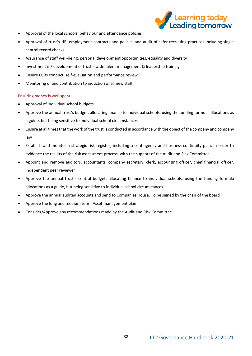

- Approval of the local schools' behaviour and attendance policies
- Approval of trust's HR, employment contracts and policies and audit of safer recruiting practices including single central record checks
- Assurance of staff well-being, personal development opportunities, equality and diversity
- Investment in/ development of trust's wide talent management & leadership training
- Ensure LGBs conduct, self-evaluation and performance review
- Monitoring of and contribution to induction of all new staff

# Ensuring money is well spent:

- Approval of Individual school budgets
- Approve the annual trust's budget, allocating finance to individual schools, using the funding formula allocations as a guide, but being sensitive to individual school circumstances
- Ensure at all times that the work of the trust is conducted in accordance with the object of the company and company law
- Establish and monitor a strategic risk register, including a contingency and business continuity plan, in order to evidence the results of the risk assessment process, with the support of the Audit and Risk Committee
- Appoint and remove auditors, accountants, company secretary, clerk, accounting officer, chief financial officer, independent peer reviewer
- Approve the annual trust's central budget, allocating finance to individual schools, using the funding formula allocations as a guide, but being sensitive to individual school circumstances
- Approve the annual audited accounts and send to Companies House. To be signed by the chair of the board
- Approve the long and medium term `Asset management plan`
- Consider/Approve any recommendations made by the Audit and Risk Committee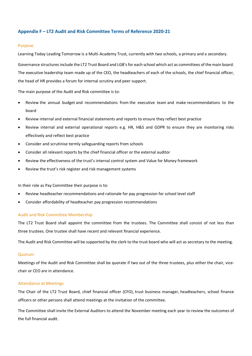# **Appendix F – LT2 Audit and Risk Committee Terms of Reference 2020-21**

#### Purpose

Learning Today Leading Tomorrow is a Multi-Academy Trust, currently with two schools, a primary and a secondary.

Governance structures include the LT2 Trust Board and LGB'sfor each school which act as committees of the main board. The executive leadership team made up of the CEO, the headteachers of each of the schools, the chief financial officer, the head of HR provides a forum for internal scrutiny and peer support.

The main purpose of the Audit and Risk committee is to:

- Review the annual budget and recommendations from the executive team and make recommendations to the board
- Review internal and external financial statements and reports to ensure they reflect best practice
- Review internal and external operational reports e.g. HR, H&S and GDPR to ensure they are monitoring risks effectively and reflect best practice
- Consider and scrutinise termly safeguarding reports from schools
- Consider all relevant reports by the chief financial officer or the external auditor
- Review the effectiveness of the trust's internal control system and Value for Money framework
- Review the trust's risk register and risk management systems

In their role as Pay Committee their purpose is to:

- Review headteacher recommendations and rationale for pay progression for school level staff
- Consider affordability of headteacher pay progression recommendations

# Audit and Risk Committee Membership

The LT2 Trust Board shall appoint the committee from the trustees. The Committee shall consist of not less than three trustees. One trustee shall have recent and relevant financial experience.

The Audit and Risk Committee will be supported by the clerk to the trust board who will act as secretary to the meeting.

# Quorum

Meetings of the Audit and Risk Committee shall be quorate if two out of the three trustees, plus either the chair, vicechair or CEO are in attendance.

# Attendance at Meetings

The Chair of the LT2 Trust Board, chief financial officer (CFO), trust business manager, headteachers, school finance officers or other persons shall attend meetings at the invitation of the committee.

The Committee shall invite the External Auditors to attend the November meeting each year to review the outcomes of the full financial audit.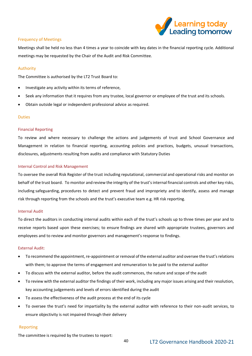

# Frequency of Meetings

Meetings shall be held no less than 4 times a year to coincide with key dates in the financial reporting cycle. Additional meetings may be requested by the Chair of the Audit and Risk Committee.

# Authority

The Committee is authorised by the LT2 Trust Board to:

- Investigate any activity within its terms of reference,
- Seek any information that it requires from any trustee, local governor or employee of the trust and its schools.
- Obtain outside legal or independent professional advice as required.

# Duties

# Financial Reporting

To review and where necessary to challenge the actions and judgements of trust and School Governance and Management in relation to financial reporting, accounting policies and practices, budgets, unusual transactions, disclosures, adjustments resulting from audits and compliance with Statutory Duties

# Internal Control and Risk Management

To oversee the overall Risk Register of the trust including reputational, commercial and operational risks and monitor on behalf of the trust board. To monitor and review the integrity of the trust's internal financial controls and other key risks, including safeguarding, procedures to detect and prevent fraud and impropriety and to identify, assess and manage risk through reporting from the schools and the trust's executive team e.g. HR risk reporting.

# Internal Audit

To direct the auditors in conducting internal audits within each of the trust's schools up to three times per year and to receive reports based upon these exercises; to ensure findings are shared with appropriate trustees, governors and employees and to review and monitor governors and management's response to findings.

# External Audit:

- To recommend the appointment, re-appointment or removal of the external auditor and oversee the trust's relations with them; to approve the terms of engagement and remuneration to be paid to the external auditor
- To discuss with the external auditor, before the audit commences, the nature and scope of the audit
- To review with the external auditor the findings of their work, including any major issues arising and their resolution, key accounting judgements and levels of errors identified during the audit
- To assess the effectiveness of the audit process at the end of its cycle
- To oversee the trust's need for impartiality by the external auditor with reference to their non-audit services, to ensure objectivity is not impaired through their delivery

# Reporting

The committee is required by the trustees to report: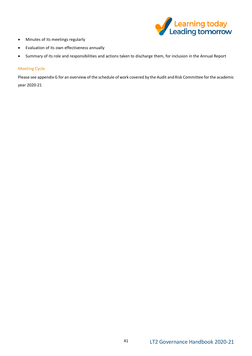

- Minutes of its meetings regularly
- Evaluation of its own effectiveness annually
- Summary of its role and responsibilities and actions taken to discharge them, for inclusion in the Annual Report

# Meeting Cycle

Please see appendix G for an overview of the schedule of work covered by the Audit and Risk Committee for the academic

year 2020-21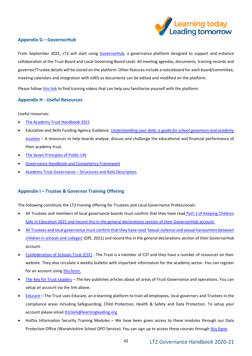

# **Appendix G – GovernorHub**

From September 2021, LT2 will start using [GovernorHub,](https://governorhub.com/#governing-boards) a governance platform designed to support and enhance collaboration at the Trust Board and Local Governing Board Level. All meeting agendas, documents, training records and governor/Trustee details will be stored on the platform. Other features include a noticeboard for each board/committee, meeting calendars and integration with o365 so documents can be edited and modified on the platform.

Please follow [this link](https://help.governorhub.com/en/collections/150960-the-basics) to find training videos that can help you familiarise yourself with the platform.

# **Appendix H - Useful Resources**

Useful resources:

- [The Academy Trust Handbook 2021](https://www.gov.uk/guidance/academies-financial-handbook/academy-trust-handbook-2021)
- Education and Skills Funding Agency Guidance: *[Understanding your data: a guide for school governors and academy](https://www.gov.uk/government/publications/understanding-your-data-a-guide-for-school-governors-and-academy-trustees/understanding-your-data-a-guide-for-school-governors-and-academy-trustees)  [trustees](https://www.gov.uk/government/publications/understanding-your-data-a-guide-for-school-governors-and-academy-trustees/understanding-your-data-a-guide-for-school-governors-and-academy-trustees) –* A resources to help boards analyse, discuss and challenge the educational and financial performance of their academy trust.
- [The Seven Principles of Public Life](https://www.gov.uk/government/publications/the-7-principles-of-public-life)
- [Governance Handbook and Competency Framework](https://www.gov.uk/government/publications/governance-handbook)
- Academy Trust Governance [Structures and Role Descriptors](https://assets.publishing.service.gov.uk/government/uploads/system/uploads/attachment_data/file/924673/Academies_governance_role_descriptors.pdf)

# **Appendix I – Trustee & Governor Training Offering**

The following constitute the LT2 training offering for Trustees and Local Governance Professionals:

- All Trustees and members of local governance boards must confirm that they have read Part 1 of Keeping Children [Safe in Education](https://www.gov.uk/government/publications/keeping-children-safe-in-education--2) 2021 and record this in the general declarations section of their GovernorHub account.
- All Trustees and local governance must confirm that they have read ['Sexual violence and sexual harassment between](https://www.gov.uk/government/publications/sexual-violence-and-sexual-harassment-between-children-in-schools-and-colleges)  [children in schools and colleges](https://www.gov.uk/government/publications/sexual-violence-and-sexual-harassment-between-children-in-schools-and-colleges)*'* (DfE, 2021) and record this in the general declarations section of their GovernorHub account.
- [Confederation of Schools Trust \(CST\)](https://cstuk.org.uk/) The Trust is a member of CST and they have a number of resources on their website. They also circulate a weekly bulletin with important information for the academy sector. You can register for an account usin[g this form.](https://cstuk.org.uk/register)
- [The Key for Trust Leaders](https://trustleaders.thekeysupport.com/) The Key publishes articles about all areas of Trust Governance and operations. You can setup an account via the link above.
- [Educare](https://www.educare.co.uk/) The Trust uses Educare, an e-learning platform to train all employees, local governors and Trustees in the compliance areas including Safeguarding, Child Protection, Health & Safety and Data Protection. To setup your account please email **It2clerk@learningleading.org**
- HutSix Information Security Training Modules We have been given access to these modules through our Data Protection Office (Warwickshire School DPO Service). You can sign up to access these courses through [this form.](https://eur02.safelinks.protection.outlook.com/?url=https%3A%2F%2Fforms.office.com%2FPages%2FResponsePage.aspx%3Fid%3DBqqwiCdZu0uok4nMJxOsgkp9STFSBzhGu2Nljzo9-mJUQjVLWTNLUEM3TllTMTRFSzBOTE44U0kwNiQlQCN0PWcu&data=04%7C01%7Cschooldpo%40warwickshire.gov.uk%7Cb193a79cb30647bbf7b308d8913a4d76%7C88b0aa0659274bbba89389cc2713ac82%7C0%7C0%7C637419026910032716%7CUnknown%7CTWFpbGZsb3d8eyJWIjoiMC4wLjAwMDAiLCJQIjoiV2luMzIiLCJBTiI6Ik1haWwiLCJXVCI6Mn0%3D%7C1000&sdata=n2r5oWmIb9Vpsh59pX8LDx7gVEB6l%2BeIp8dwF1fxbQ8%3D&reserved=0)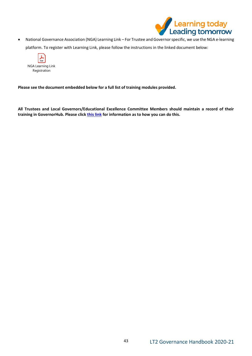

• National Governance Association (NGA) Learning Link – For Trustee and Governor specific, we use the NGA e-learning platform. To register with Learning Link, please follow the instructions in the linked document below:



**Please see the document embedded below for a full list of training modules provided.** 

**All Trustees and Local Governors/Educational Excellence Committee Members should maintain a record of their training in GovernorHub. Please clic[k this link](https://help.governorhub.com/en/articles/5106646-can-i-record-details-of-my-governor-training) for information as to how you can do this.**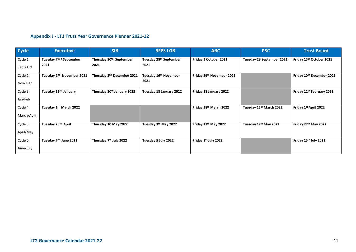# **Appendix J - LT2 Trust Year Governance Planner 2021-22**

| <b>Cycle</b> | <b>Executive</b>                      | <b>SIB</b>                             | <b>RFPS LGB</b>                    | <b>ARC</b>                       | <b>PSC</b>                | <b>Trust Board</b>                    |
|--------------|---------------------------------------|----------------------------------------|------------------------------------|----------------------------------|---------------------------|---------------------------------------|
| Cycle 1:     | Tuesday 7 <sup>th h</sup> September   | Thursday 30 <sup>th</sup> September    | Tuesday 28 <sup>th</sup> September | Friday 1 October 2021            | Tuesday 28 September 2021 | Friday 15th October 2021              |
| Sept/Oct     | 2021                                  | 2021                                   | 2021                               |                                  |                           |                                       |
| Cycle 2:     | Tuesday 2 <sup>nd</sup> November 2021 | Thursday 2 <sup>nd</sup> December 2021 | Tuesday 16 <sup>th</sup> November  | Friday 26th November 2021        |                           | Friday 10th December 2021             |
| Nov/Dec      |                                       |                                        | 2021                               |                                  |                           |                                       |
| Cycle 3:     | Tuesday 11 <sup>th</sup> January      | Thursday 20 <sup>th</sup> January 2022 | Tuesday 18 January 2022            | Friday 28 January 2022           |                           | Friday 11 <sup>th</sup> February 2022 |
| Jan/Feb      |                                       |                                        |                                    |                                  |                           |                                       |
| Cycle 4:     | Tuesday 1st March 2022                |                                        |                                    | Friday 18th March 2022           | Tuesday 15th March 2022   | Friday 1st April 2022                 |
| March/April  |                                       |                                        |                                    |                                  |                           |                                       |
| Cycle 5:     | Tuesday 26th April                    | Thursday 10 May 2022                   | Tuesday 3rd May 2022               | Friday 13th May 2022             | Tuesday 17th May 2022     | Friday 27th May 2022                  |
| April/May    |                                       |                                        |                                    |                                  |                           |                                       |
| Cycle 6:     | Tuesday 7 <sup>th</sup> June 2021     | Thursday 7 <sup>th</sup> July 2022     | Tuesday 5 July 2022                | Friday 1 <sup>st</sup> July 2022 |                           | Friday 15th July 2022                 |
| June/July    |                                       |                                        |                                    |                                  |                           |                                       |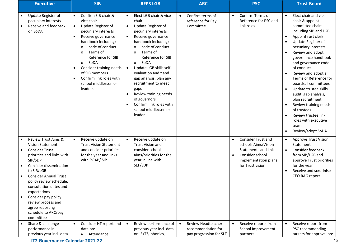| <b>Executive</b>                                                                                                                                                                                                                                                                                                                                                                                      | <b>SIB</b>                                                                                                                                                                                                                                                                                                                                                                                                    | <b>RFPS LGB</b>                                                                                                                                                                                                                                                                                                                                                                                                                                                                                                                  | <b>ARC</b>                                                                       | <b>PSC</b>                                                                                                                                                               | <b>Trust Board</b>                                                                                                                                                                                                                                                                                                                                                                                                                                                                                                       |
|-------------------------------------------------------------------------------------------------------------------------------------------------------------------------------------------------------------------------------------------------------------------------------------------------------------------------------------------------------------------------------------------------------|---------------------------------------------------------------------------------------------------------------------------------------------------------------------------------------------------------------------------------------------------------------------------------------------------------------------------------------------------------------------------------------------------------------|----------------------------------------------------------------------------------------------------------------------------------------------------------------------------------------------------------------------------------------------------------------------------------------------------------------------------------------------------------------------------------------------------------------------------------------------------------------------------------------------------------------------------------|----------------------------------------------------------------------------------|--------------------------------------------------------------------------------------------------------------------------------------------------------------------------|--------------------------------------------------------------------------------------------------------------------------------------------------------------------------------------------------------------------------------------------------------------------------------------------------------------------------------------------------------------------------------------------------------------------------------------------------------------------------------------------------------------------------|
| Update Register of<br>pecuniary interests<br>Receive and feedback<br>on SoDA                                                                                                                                                                                                                                                                                                                          | Confirm SIB chair &<br>$\bullet$<br>vice chair<br>Update Register of<br>$\bullet$<br>pecuniary interests<br>Receive governance<br>$\bullet$<br>handbook including:<br>code of conduct<br>$\mathbf 0$<br>Terms of<br>$\Omega$<br>Reference for SIB<br>SoDA<br>$\mathbf 0$<br>Consider training needs<br>$\bullet$<br>of SIB members<br>Confirm link roles with<br>$\bullet$<br>school middle/senior<br>leaders | Elect LGB chair & vice<br>$\bullet$<br>chair<br>Update Register of<br>$\bullet$<br>pecuniary interests<br>Receive governance<br>$\bullet$<br>handbook including:<br>code of conduct<br>$\mathbf 0$<br>Terms of<br>$\Omega$<br>Reference for SIB<br>SoDA<br>$\mathbf{O}$<br>Update LGB skills self-<br>$\bullet$<br>evaluation audit and<br>gap analysis, plan any<br>recruitment to meet<br>gaps<br>Review training needs<br>$\bullet$<br>of governors<br>Confirm link roles with<br>$\bullet$<br>school middle/senior<br>leader | Confirm terms of<br>$\bullet$<br>reference for Pay<br>Committee                  | Confirm Terms of<br>$\bullet$<br>Reference for PSC and<br>link roles                                                                                                     | Elect chair and vice-<br>$\bullet$<br>chair & appoint<br>committee chairs<br>including SIB and LGB<br>Appoint rust clerk<br>Update Register of<br>pecuniary interests<br>Review and adopt<br>governance handbook<br>and governance code<br>of conduct<br>Review and adopt all<br>Terms of Reference for<br>board/all committees<br>Update trustee skills<br>audit, gap analysis,<br>plan recruitment<br>Review training needs<br>of trustees<br>Review trustee link<br>roles with executive<br>team<br>Review/adopt SoDA |
| <b>Review Trust Aims &amp;</b><br>$\bullet$<br><b>Vision Statement</b><br><b>Consider Trust</b><br>$\bullet$<br>priorities and links with<br>SIP/SDP<br>Consider dissemination<br>to SIB/LGB<br><b>Consider Annual Trust</b><br>policy review schedule,<br>consultation dates and<br>expectations<br>Consider pay policy<br>review process and<br>agree reporting<br>schedule to ARC/pay<br>committee | Receive update on<br>$\bullet$<br><b>Trust Vision Statement</b><br>and consider priorities<br>for the year and links<br>with POAP/SIP                                                                                                                                                                                                                                                                         | Receive update on<br>$\bullet$<br><b>Trust Vision and</b><br>consider school<br>aims/priorities for the<br>year in line with<br>SEF/SDP                                                                                                                                                                                                                                                                                                                                                                                          |                                                                                  | <b>Consider Trust and</b><br>$\bullet$<br>schools Aims/Vision<br><b>Statements and links</b><br>Consider school<br>$\bullet$<br>implementation plans<br>for Trust vision | <b>Approve Trust Vision</b><br>$\bullet$<br>Statement<br>Consider feedback<br>$\bullet$<br>from SIB/LGB and<br>approve Trust priorities<br>for the year<br>Receive and scrutinise<br>CEO RAG report                                                                                                                                                                                                                                                                                                                      |
| Share & challenge<br>$\bullet$<br>performance in<br>previous year incl. data                                                                                                                                                                                                                                                                                                                          | Consider HT report and<br>$\bullet$<br>data on:<br>Attendance<br>$\bullet$                                                                                                                                                                                                                                                                                                                                    | Review performance of<br>$\bullet$<br>previous year incl. data<br>on: EYFS, phonics,                                                                                                                                                                                                                                                                                                                                                                                                                                             | Review Headteacher<br>$\bullet$<br>recommendation for<br>pay progression for SLT | Receive reports from<br>School Improvement<br>partners                                                                                                                   | Receive report from<br>$\bullet$<br>PSC recommending<br>targets for approval on:                                                                                                                                                                                                                                                                                                                                                                                                                                         |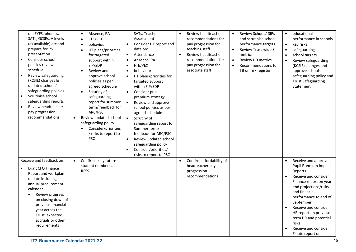| on: EYFS, phonics,<br>SATs, GCSEs, A levels<br>(as available) etc and<br>prepare for PSC<br>presentation<br>Consider school<br>$\bullet$<br>policies review<br>schedule<br>Review safeguarding<br>(KCSIE) changes &<br>updated schools'<br>safeguarding policies<br>Scrutinise school<br>safeguarding reports<br>Review headteacher<br>$\bullet$<br>pay progression<br>recommendations | Absence, PA<br>$\bullet$<br>FTE/PEX<br>behaviour<br>HT plans/priorities<br>for targeted<br>support within<br>SIP/SDP<br>Review and<br>approve school<br>policies as per<br>agreed schedule<br>Scrutiny of<br>safeguarding<br>report for summer<br>term/ feedback for<br>ARC/PSC<br>Review updated school<br>safeguarding policy<br>Consider/priorities<br>/ risks to report to<br><b>PSC</b> | SATs, Teacher<br>Assessment<br>Consider HT report and<br>$\bullet$<br>data on:<br>Attendance<br>$\bullet$<br>Absence, PA<br>FTE/PEX<br>behaviour<br>HT plans/priorities for<br>targeted support<br>within SIP/SDP<br>Consider pupil<br>$\bullet$<br>premium strategy<br>Review and approve<br>$\bullet$<br>school policies as per<br>agreed schedule<br>Scrutiny of<br>$\bullet$<br>safeguarding report for<br>Summer term/<br>feedback for ARC/PSC<br>Review updated school<br>$\bullet$<br>safeguarding policy<br>Consider/priorities/<br>$\bullet$<br>risks to report to PSC | Review headteacher<br>$\bullet$<br>recommendations for<br>pay progression for<br>teaching staff<br>Review headteacher<br>$\bullet$<br>recommendations for<br>pay progression for<br>associate staff | Review Schools' SIPs<br>$\bullet$<br>and scrutinise school<br>performance targets<br>Review Trust-wide SI<br>$\bullet$<br>metrics<br><b>Review PD metrics</b><br>$\bullet$<br>Recommendations to<br>$\bullet$<br>TB on risk register | educational<br>$\bullet$<br>performance in schools<br>key risks<br>$\bullet$<br>safeguarding<br>school targets<br>Review safeguarding<br>(KCSIE) changes and<br>approve schools'<br>safeguarding policy and<br><b>Trust Safeguarding</b><br>Statement                                                                                 |
|----------------------------------------------------------------------------------------------------------------------------------------------------------------------------------------------------------------------------------------------------------------------------------------------------------------------------------------------------------------------------------------|----------------------------------------------------------------------------------------------------------------------------------------------------------------------------------------------------------------------------------------------------------------------------------------------------------------------------------------------------------------------------------------------|---------------------------------------------------------------------------------------------------------------------------------------------------------------------------------------------------------------------------------------------------------------------------------------------------------------------------------------------------------------------------------------------------------------------------------------------------------------------------------------------------------------------------------------------------------------------------------|-----------------------------------------------------------------------------------------------------------------------------------------------------------------------------------------------------|--------------------------------------------------------------------------------------------------------------------------------------------------------------------------------------------------------------------------------------|---------------------------------------------------------------------------------------------------------------------------------------------------------------------------------------------------------------------------------------------------------------------------------------------------------------------------------------|
| Receive and feedback on:<br>Draft CFO Finance<br>Report and workplan<br>update including<br>annual procurement<br>calendar<br>Review progress<br>on closing down of<br>previous financial<br>year across the<br>Trust, expected<br>accruals or other<br>requirements                                                                                                                   | Confirm likely future<br>$\bullet$<br>student numbers at<br><b>RFSS</b>                                                                                                                                                                                                                                                                                                                      |                                                                                                                                                                                                                                                                                                                                                                                                                                                                                                                                                                                 | Confirm affordability of<br>$\bullet$<br>headteacher pay<br>progression<br>recommendations                                                                                                          |                                                                                                                                                                                                                                      | Receive and approve<br>$\bullet$<br>Pupil Premium Impact<br>Reports<br>Receive and consider<br>Finance report on year-<br>end projections/risks<br>and financial<br>performance to end of<br>September<br>Receive and consider<br>HR report on previous<br>term HR and potential<br>risks<br>Receive and consider<br>Estate report on |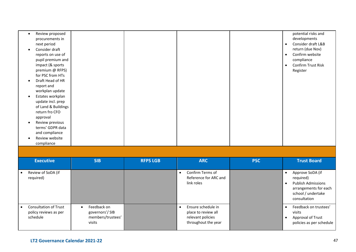| Review proposed<br>procurements in<br>next period |  |  | potential risks and<br>developments<br>Consider draft L&B<br>$\bullet$ |
|---------------------------------------------------|--|--|------------------------------------------------------------------------|
| Consider draft                                    |  |  | return (due Nov)                                                       |
| reports on use of                                 |  |  | Confirm website<br>$\bullet$                                           |
| pupil premium and                                 |  |  | compliance                                                             |
| impact (& sports                                  |  |  | Confirm Trust Risk<br>$\bullet$                                        |
| premium @ RFPS)                                   |  |  | Register                                                               |
| for PSC from HTs                                  |  |  |                                                                        |
| Draft Head of HR                                  |  |  |                                                                        |
| report and                                        |  |  |                                                                        |
| workplan update                                   |  |  |                                                                        |
| Estates workplan                                  |  |  |                                                                        |
| update incl. prep                                 |  |  |                                                                        |
| of Land & Buildings                               |  |  |                                                                        |
| return fro CFO                                    |  |  |                                                                        |
| approval                                          |  |  |                                                                        |
| Review previous                                   |  |  |                                                                        |
| terms' GDPR data                                  |  |  |                                                                        |
| and compliance                                    |  |  |                                                                        |
| Review website                                    |  |  |                                                                        |
| compliance                                        |  |  |                                                                        |

| <b>Executive</b>                                                  | <b>SIB</b>                                                   | <b>RFPS LGB</b> | <b>ARC</b>                                                                            | <b>PSC</b> | <b>Trust Board</b>                                                                                                        |
|-------------------------------------------------------------------|--------------------------------------------------------------|-----------------|---------------------------------------------------------------------------------------|------------|---------------------------------------------------------------------------------------------------------------------------|
| Review of SoDA (if<br>required)                                   |                                                              |                 | Confirm Terms of<br>Reference for ARC and<br>link roles                               |            | Approve SoDA (if<br>required)<br><b>Publish Admissions</b><br>arrangements for each<br>school / undertake<br>consultation |
| <b>Consultation of Trust</b><br>policy reviews as per<br>schedule | Feedback on<br>governors'/SIB<br>members/trustees'<br>visits |                 | Ensure schedule in<br>place to review all<br>relevant policies<br>throughout the year |            | Feedback on trustees'<br>visits<br>Approval of Trust<br>policies as per schedule                                          |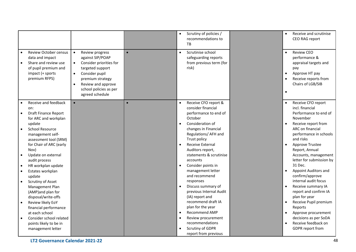|                                                                                                                                                                                                                                                                                                                                                                                                                                                                                                                                             |                                                                                                                                                                                                                                                 |           | Scrutiny of policies /<br>recommendations to<br>TB                                                                                                                                                                                                                                                                                                                                                                                                            | Receive and scrutinise<br>$\bullet$<br>CEO RAG report                                                                                                                                                                                                                                                                                                                                                                                                                                                                        |
|---------------------------------------------------------------------------------------------------------------------------------------------------------------------------------------------------------------------------------------------------------------------------------------------------------------------------------------------------------------------------------------------------------------------------------------------------------------------------------------------------------------------------------------------|-------------------------------------------------------------------------------------------------------------------------------------------------------------------------------------------------------------------------------------------------|-----------|---------------------------------------------------------------------------------------------------------------------------------------------------------------------------------------------------------------------------------------------------------------------------------------------------------------------------------------------------------------------------------------------------------------------------------------------------------------|------------------------------------------------------------------------------------------------------------------------------------------------------------------------------------------------------------------------------------------------------------------------------------------------------------------------------------------------------------------------------------------------------------------------------------------------------------------------------------------------------------------------------|
| Review October census<br>data and impact<br>Share and review use<br>of pupil premium and<br>impact (+ sports<br>premium RFPS)                                                                                                                                                                                                                                                                                                                                                                                                               | Review progress<br>$\bullet$<br>against SIP/POAP<br>Consider priorities for<br>$\bullet$<br>targeted support<br>Consider pupil<br>$\bullet$<br>premium strategy<br>Review and approve<br>$\bullet$<br>school policies as per<br>agreed schedule | $\bullet$ | Scrutinise school<br>safeguarding reports<br>from previous term (for<br>risk)                                                                                                                                                                                                                                                                                                                                                                                 | <b>Review CEO</b><br>$\bullet$<br>performance &<br>appraisal targets and<br>pay<br>Approve HT pay<br>$\bullet$<br>Receive reports from<br>$\bullet$<br>Chairs of LGB/SIB<br>$\bullet$                                                                                                                                                                                                                                                                                                                                        |
| Receive and feedback<br>$\bullet$<br>on:<br><b>Draft Finance Report</b><br>$\bullet$<br>for ARC and workplan<br>update<br><b>School Resource</b><br>$\bullet$<br>management self-<br>assessment tool (SRM)<br>for Chair of ARC (early<br>Nov)<br>Update on external<br>$\bullet$<br>audit process<br>HR workplan update<br>$\bullet$<br>Estates workplan<br>$\bullet$<br>update<br>Scrutiny of Asset<br>$\bullet$<br>Management Plan<br>(AMP)and plan for<br>disposal/write-offs<br>Review likely EoY<br>$\bullet$<br>financial performance | $\bullet$                                                                                                                                                                                                                                       |           | Receive CFO report &<br>consider financial<br>performance to end of<br>October<br>Consideration of<br>changes in Financial<br>Regulations/ AFH and<br>Trust policy<br><b>Receive External</b><br>$\bullet$<br>Auditors report,<br>statements & scrutinise<br>accounts<br>Consider points in<br>management letter<br>and recommend<br>responses<br>Discuss summary of<br>previous Internal Audit<br>(IA) report and<br>recommend draft IA<br>plan for the year | Receive CFO report<br>$\bullet$<br>incl. financial<br>Performance to end of<br>November<br>Receive report from<br>$\bullet$<br>ARC on financial<br>performance in schools<br>and risks<br>Approve Trustee<br>$\bullet$<br>Report, Annual<br>Accounts, management<br>letter for submission by<br>31 Dec.<br><b>Appoint Auditors and</b><br>$\bullet$<br>confirm/approve<br>internal audit focus<br>Receive summary IA<br>$\bullet$<br>report and confirm IA<br>plan for year<br>Receive Pupil premium<br>$\bullet$<br>Reports |
| at each school<br>Consider school related<br>$\bullet$<br>points likely to be in<br>management letter<br>LT2 Governance Calendar 2021-22                                                                                                                                                                                                                                                                                                                                                                                                    |                                                                                                                                                                                                                                                 |           | Recommend AMP<br>$\bullet$<br>Review procurement<br>recommendations<br>Scrutiny of GDPR<br>report from previous                                                                                                                                                                                                                                                                                                                                               | Approve procurement<br>$\bullet$<br>decisions as per SoDA<br>Receive feedback on<br>$\bullet$<br><b>GDPR</b> report from<br>48                                                                                                                                                                                                                                                                                                                                                                                               |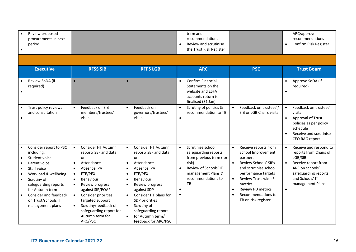|                                     | Review proposed<br>procurements in next<br>period                                                                                                                                                                                          |                                                               |                                                                                                                                                                                                                                                                           |                                                                                                      |                                                                                                                                                                                                                                                                       | $\bullet$ | term and<br>recommendations<br>Review and scrutinise<br>the Trust Risk Register                                                                          |                                     |                                                                                                                                                                                                                                                   | $\bullet$              | ARC/approve<br>recommendations<br>Confirm Risk Register                                                                                                              |
|-------------------------------------|--------------------------------------------------------------------------------------------------------------------------------------------------------------------------------------------------------------------------------------------|---------------------------------------------------------------|---------------------------------------------------------------------------------------------------------------------------------------------------------------------------------------------------------------------------------------------------------------------------|------------------------------------------------------------------------------------------------------|-----------------------------------------------------------------------------------------------------------------------------------------------------------------------------------------------------------------------------------------------------------------------|-----------|----------------------------------------------------------------------------------------------------------------------------------------------------------|-------------------------------------|---------------------------------------------------------------------------------------------------------------------------------------------------------------------------------------------------------------------------------------------------|------------------------|----------------------------------------------------------------------------------------------------------------------------------------------------------------------|
|                                     |                                                                                                                                                                                                                                            |                                                               |                                                                                                                                                                                                                                                                           |                                                                                                      |                                                                                                                                                                                                                                                                       |           |                                                                                                                                                          |                                     |                                                                                                                                                                                                                                                   |                        |                                                                                                                                                                      |
|                                     | <b>Executive</b>                                                                                                                                                                                                                           |                                                               | <b>RFSS SIB</b>                                                                                                                                                                                                                                                           |                                                                                                      | <b>RFPS LGB</b>                                                                                                                                                                                                                                                       |           | <b>ARC</b>                                                                                                                                               |                                     | <b>PSC</b>                                                                                                                                                                                                                                        |                        | <b>Trust Board</b>                                                                                                                                                   |
|                                     | Review SoDA (if<br>required)                                                                                                                                                                                                               | $\bullet$                                                     |                                                                                                                                                                                                                                                                           |                                                                                                      |                                                                                                                                                                                                                                                                       | $\bullet$ | Confirm Financial<br>Statements on the<br>website and ESFA<br>accounts return is<br>finalised (31 Jan)                                                   |                                     |                                                                                                                                                                                                                                                   |                        | Approve SoDA (if<br>required)                                                                                                                                        |
|                                     | Trust policy reviews<br>and consultation                                                                                                                                                                                                   | $\bullet$                                                     | Feedback on SIB<br>members/trustees'<br>visits                                                                                                                                                                                                                            | $\bullet$                                                                                            | Feedback on<br>governors/trustees'<br>visits                                                                                                                                                                                                                          |           | Scrutiny of policies &<br>recommendation to TB                                                                                                           | $\bullet$                           | Feedback on trustees'/<br>SIB or LGB Chairs visits                                                                                                                                                                                                | $\bullet$<br>$\bullet$ | Feedback on trustees'<br>visits<br>Approval of Trust<br>policies as per policy<br>schedule<br>Receive and scrutinise<br>CEO RAG report                               |
| $\bullet$<br>$\bullet$<br>$\bullet$ | Consider report to PSC<br>including:<br>Student voice<br>Parent voice<br>Staff voice<br>Workload & wellbeing<br>Scrutiny of<br>safeguarding reports<br>for Autumn term<br>Consider and feedback<br>on Trust/schools IT<br>management plans | $\bullet$<br>$\bullet$<br>$\bullet$<br>$\bullet$<br>$\bullet$ | Consider HT Autumn<br>report/ SEF and data<br>on:<br>Attendance<br>Absence, PA<br>FTE/PEX<br>Behaviour<br>Review progress<br>against SIP/POAP<br>Consider priorities<br>targeted support<br>Scrutiny/feedback of<br>safeguarding report for<br>Autumn term for<br>ARC/PSC | $\bullet$<br>$\bullet$<br>$\bullet$<br>$\bullet$<br>$\bullet$<br>$\bullet$<br>$\bullet$<br>$\bullet$ | Consider HT Autumn<br>report/ SEF and data<br>on:<br>Attendance<br>Absence, PA<br>FTE/PEX<br>Behaviour<br>Review progress<br>against SDP<br>Consider HT plans for<br>SDP priorities<br>Scrutiny of<br>safeguarding report<br>for Autumn term/<br>feedback for ARC/PSC | $\bullet$ | Scrutinise school<br>safeguarding reports<br>from previous term (for<br>risk)<br>Review of Schools' IT<br>management Plans &<br>recommendations to<br>TB | $\bullet$<br>$\bullet$<br>$\bullet$ | Receive reports from<br>School Improvement<br>partners<br>Review Schools' SIPs<br>and scrutinise school<br>performance targets<br><b>Review Trust-wide SI</b><br>metrics<br><b>Review PD metrics</b><br>Recommendations to<br>TB on risk register | $\bullet$              | Receive and respond to<br>reports from Chairs of<br>LGB/SIB<br>Receive report from<br>ARC on schools'<br>safeguarding reports<br>and Schools' IT<br>management Plans |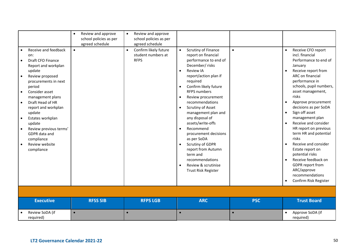| Receive and feedback<br>$\bullet$<br>on:<br>Draft CFO Finance<br>Report and workplan<br>update<br>Review proposed<br>$\bullet$<br>procurements in next<br>period<br>Consider asset<br>$\bullet$<br>management plans<br>Draft Head of HR<br>$\bullet$<br>report and workplan<br>update<br>Estates workplan<br>update<br>Review previous terms'<br>GDPR data and<br>compliance<br>Review website<br>compliance | Review and approve<br>$\bullet$<br>school policies as per<br>agreed schedule<br>$\bullet$ | Review and approve<br>$\bullet$<br>school policies as per<br>agreed schedule<br>Confirm likely future<br>student numbers at<br><b>RFPS</b> | Scrutiny of Finance<br>$\bullet$<br>report on financial<br>performance to end of<br>December/ risks<br>Review IA<br>report/action plan if<br>required<br>Confirm likely future<br><b>RFPS numbers</b><br>Review procurement<br>$\bullet$<br>recommendations<br>Scrutiny of Asset<br>$\bullet$<br>management plan and<br>any disposal of<br>assets/write-offs<br>Recommend<br>$\bullet$<br>procurement decisions<br>as per SoDA<br>Scrutiny of GDPR<br>report from Autumn<br>term and<br>recommendations<br>Review & scrutinise<br>Trust Risk Register | $\bullet$  | Receive CFO report<br>incl. financial<br>Performance to end of<br>January<br>Receive report from<br>ARC on financial<br>performance in<br>schools, pupil numbers,<br>asset management,<br>risks<br>Approve procurement<br>decisions as per SoDA<br>Sign off asset<br>$\bullet$<br>management plan<br>Receive and consider<br>HR report on previous<br>term HR and potential<br>risks<br>Receive and consider<br>Estate report on<br>potential risks<br>Receive feedback on<br><b>GDPR</b> report from<br>ARC/approve<br>recommendations<br>Confirm Risk Register |
|--------------------------------------------------------------------------------------------------------------------------------------------------------------------------------------------------------------------------------------------------------------------------------------------------------------------------------------------------------------------------------------------------------------|-------------------------------------------------------------------------------------------|--------------------------------------------------------------------------------------------------------------------------------------------|-------------------------------------------------------------------------------------------------------------------------------------------------------------------------------------------------------------------------------------------------------------------------------------------------------------------------------------------------------------------------------------------------------------------------------------------------------------------------------------------------------------------------------------------------------|------------|------------------------------------------------------------------------------------------------------------------------------------------------------------------------------------------------------------------------------------------------------------------------------------------------------------------------------------------------------------------------------------------------------------------------------------------------------------------------------------------------------------------------------------------------------------------|
|                                                                                                                                                                                                                                                                                                                                                                                                              |                                                                                           |                                                                                                                                            |                                                                                                                                                                                                                                                                                                                                                                                                                                                                                                                                                       |            |                                                                                                                                                                                                                                                                                                                                                                                                                                                                                                                                                                  |
| <b>Executive</b>                                                                                                                                                                                                                                                                                                                                                                                             | <b>RFSS SIB</b>                                                                           | <b>RFPS LGB</b>                                                                                                                            | <b>ARC</b>                                                                                                                                                                                                                                                                                                                                                                                                                                                                                                                                            | <b>PSC</b> | <b>Trust Board</b>                                                                                                                                                                                                                                                                                                                                                                                                                                                                                                                                               |
| Review SoDA (if<br>required)                                                                                                                                                                                                                                                                                                                                                                                 | $\bullet$                                                                                 | $\bullet$                                                                                                                                  |                                                                                                                                                                                                                                                                                                                                                                                                                                                                                                                                                       | $\bullet$  | Approve SoDA (if<br>required)                                                                                                                                                                                                                                                                                                                                                                                                                                                                                                                                    |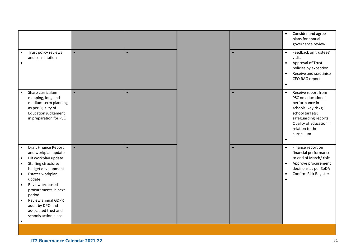|                                                                                                                                                                                                                                                                                                                                                                                               |           |           |  |           | Consider and agree<br>$\bullet$<br>plans for annual<br>governance review                                                                                                                                             |  |  |
|-----------------------------------------------------------------------------------------------------------------------------------------------------------------------------------------------------------------------------------------------------------------------------------------------------------------------------------------------------------------------------------------------|-----------|-----------|--|-----------|----------------------------------------------------------------------------------------------------------------------------------------------------------------------------------------------------------------------|--|--|
| Trust policy reviews<br>$\bullet$<br>and consultation<br>$\bullet$                                                                                                                                                                                                                                                                                                                            | $\bullet$ | $\bullet$ |  |           | Feedback on trustees'<br>$\bullet$<br>visits<br><b>Approval of Trust</b><br>$\bullet$<br>policies by exception<br>Receive and scrutinise<br>$\bullet$<br>CEO RAG report<br>$\bullet$                                 |  |  |
| Share curriculum<br>$\bullet$<br>mapping, long and<br>medium-term planning<br>as per Quality of<br>Education judgement<br>in preparation for PSC                                                                                                                                                                                                                                              | $\bullet$ | $\bullet$ |  |           | Receive report from<br>$\bullet$<br>PSC on educational<br>performance in<br>schools; key risks;<br>school targets;<br>safeguarding reports;<br>Quality of Education in<br>relation to the<br>curriculum<br>$\bullet$ |  |  |
| <b>Draft Finance Report</b><br>$\bullet$<br>and workplan update<br>HR workplan update<br>$\bullet$<br>Staffing structure/<br>$\bullet$<br>budget development<br>Estates workplan<br>$\bullet$<br>update<br>Review proposed<br>$\bullet$<br>procurements in next<br>period<br>Review annual GDPR<br>$\bullet$<br>audit by DPO and<br>associated trust and<br>schools action plans<br>$\bullet$ | $\bullet$ | $\bullet$ |  | $\bullet$ | Finance report on<br>$\bullet$<br>financial performance<br>to end of March/risks<br>Approve procurement<br>$\bullet$<br>decisions as per SoDA<br>Confirm Risk Register<br>$\bullet$<br>$\bullet$                     |  |  |
|                                                                                                                                                                                                                                                                                                                                                                                               |           |           |  |           |                                                                                                                                                                                                                      |  |  |
| LT2 Governance Calendar 2021-22                                                                                                                                                                                                                                                                                                                                                               |           |           |  |           | 51                                                                                                                                                                                                                   |  |  |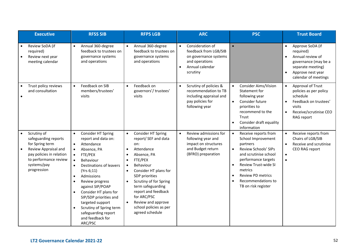| <b>Executive</b>                                                                                                                                                               | <b>RFSS SIB</b>                                                                                                                                                                                                                                                                                                                                                                                                                                                           | <b>RFPS LGB</b>                                                                                                                                                                                                                                                                                                                                                                                      | <b>ARC</b>                                                                                                                                    | <b>PSC</b>                                                                                                                                                                                                                                                                                                         | <b>Trust Board</b>                                                                                                                                           |
|--------------------------------------------------------------------------------------------------------------------------------------------------------------------------------|---------------------------------------------------------------------------------------------------------------------------------------------------------------------------------------------------------------------------------------------------------------------------------------------------------------------------------------------------------------------------------------------------------------------------------------------------------------------------|------------------------------------------------------------------------------------------------------------------------------------------------------------------------------------------------------------------------------------------------------------------------------------------------------------------------------------------------------------------------------------------------------|-----------------------------------------------------------------------------------------------------------------------------------------------|--------------------------------------------------------------------------------------------------------------------------------------------------------------------------------------------------------------------------------------------------------------------------------------------------------------------|--------------------------------------------------------------------------------------------------------------------------------------------------------------|
| Review SoDA (if<br>required)<br>Review next year<br>meeting calendar                                                                                                           | Annual 360-degree<br>$\bullet$<br>feedback to trustees on<br>governance systems<br>and operations                                                                                                                                                                                                                                                                                                                                                                         | Annual 360-degree<br>$\bullet$<br>feedback to trustees on<br>governance systems<br>and operations                                                                                                                                                                                                                                                                                                    | Consideration of<br>$\bullet$<br>feedback from LGB/SIB<br>on governance systems<br>and operations<br>Annual calendar<br>$\bullet$<br>scrutiny |                                                                                                                                                                                                                                                                                                                    | Approve SoDA (if<br>$\bullet$<br>required)<br>Annual review of<br>governance (may be a<br>separate meeting)<br>Approve nest year<br>calendar of meetings     |
| Trust policy reviews<br>and consultation                                                                                                                                       | Feedback on SIB<br>$\bullet$<br>members/trustees'<br>visits                                                                                                                                                                                                                                                                                                                                                                                                               | Feedback on<br>$\bullet$<br>governors'/trustees'<br>visits                                                                                                                                                                                                                                                                                                                                           | Scrutiny of policies &<br>$\bullet$<br>recommendation to TB<br>including appraisal and<br>pay policies for<br>following year                  | Consider Aims/Vision<br>$\bullet$<br>Statement for<br>following year<br>Consider future<br>$\bullet$<br>priorities to<br>recommend to the<br>Trust<br>Consider draft equality<br>information                                                                                                                       | Approval of Trust<br>$\bullet$<br>policies as per policy<br>schedule<br>Feedback on trustees'<br>visits<br>Receive/scrutinise CEO<br>$\bullet$<br>RAG report |
| Scrutiny of<br>$\bullet$<br>safeguarding reports<br>for Spring term<br>Review Appraisal and<br>pay policies in relation<br>to performance review<br>systems/pay<br>progression | Consider HT Spring<br>$\bullet$<br>report and data on:<br>Attendance<br>$\bullet$<br>Absence, PA<br>FTE/PEX<br>$\bullet$<br>Behaviour<br>$\bullet$<br>Destinations of leavers<br>$\bullet$<br>(Yrs 6;11)<br>Admissions<br>$\bullet$<br>Review progress<br>$\bullet$<br>against SIP/POAP<br>Consider HT plans for<br>$\bullet$<br>SIP/SDP priorities and<br>targeted support<br>Scrutiny of Spring term<br>$\bullet$<br>safeguarding report<br>and feedback for<br>ARC/PSC | Consider HT Spring<br>report/ SEF and data<br>on:<br>Attendance<br>$\bullet$<br>Absence, PA<br>$\bullet$<br>FTE/PEX<br>$\bullet$<br>Behaviour<br>$\bullet$<br>Consider HT plans for<br>$\bullet$<br>SDP priorities<br>Scrutiny of for Spring<br>$\bullet$<br>term safeguarding<br>report and feedback<br>for ARC/PSC<br>Review and approve<br>$\bullet$<br>school policies as per<br>agreed schedule | Review admissions for<br>$\bullet$<br>following year and<br>impact on structures<br>and Budget return<br>(BFRO) preparation                   | Receive reports from<br>$\bullet$<br>School Improvement<br>partners<br>Review Schools' SIPs<br>$\bullet$<br>and scrutinise school<br>performance targets<br><b>Review Trust-wide SI</b><br>$\bullet$<br>metrics<br><b>Review PD metrics</b><br>$\bullet$<br>Recommendations to<br>$\bullet$<br>TB on risk register | Receive reports from<br>Chairs of LGB/SIB<br>Receive and scrutinise<br>$\bullet$<br>CEO RAG report<br>$\bullet$<br>$\bullet$                                 |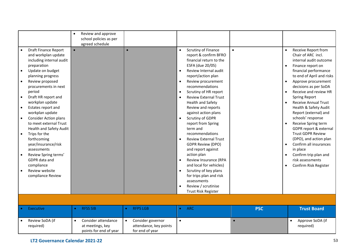|                                                                                                                                                                                                                                                                                                                                                                                                                                                                                                                                                                                       | Review and approve<br>$\bullet$<br>school policies as per<br>agreed schedule   |                                                                             |                                                                                                                                                                                                                                                                                                                                                                                                                                                                                                                                                                                                                                                                                                              |            |                                                                                                                                                                                                                                                                                                                                                                                                                                                                                                                                                                          |
|---------------------------------------------------------------------------------------------------------------------------------------------------------------------------------------------------------------------------------------------------------------------------------------------------------------------------------------------------------------------------------------------------------------------------------------------------------------------------------------------------------------------------------------------------------------------------------------|--------------------------------------------------------------------------------|-----------------------------------------------------------------------------|--------------------------------------------------------------------------------------------------------------------------------------------------------------------------------------------------------------------------------------------------------------------------------------------------------------------------------------------------------------------------------------------------------------------------------------------------------------------------------------------------------------------------------------------------------------------------------------------------------------------------------------------------------------------------------------------------------------|------------|--------------------------------------------------------------------------------------------------------------------------------------------------------------------------------------------------------------------------------------------------------------------------------------------------------------------------------------------------------------------------------------------------------------------------------------------------------------------------------------------------------------------------------------------------------------------------|
| <b>Draft Finance Report</b><br>and workplan update<br>including internal audit<br>preparation<br>Update on budget<br>$\bullet$<br>planning progress<br>Review proposed<br>procurements in next<br>period<br>Draft HR report and<br>workplan update<br>Estates report and<br>$\bullet$<br>workplan update<br><b>Consider Action plans</b><br>to meet external Trust<br><b>Health and Safety Audit</b><br>Trips for the<br>$\bullet$<br>forthcoming<br>year/insurance/risk<br>assessments<br>Review Spring terms'<br>GDPR data and<br>compliance<br>Review website<br>compliance Review | $\bullet$                                                                      | $\bullet$                                                                   | Scrutiny of Finance<br>$\bullet$<br>report & confirm BFRO<br>financial return to the<br>ESFA (due 20/05)<br>Review Internal audit<br>report/action plan<br>Review procurement<br>recommendations<br>Scrutiny of HR report<br>$\bullet$<br><b>Review External Trust</b><br><b>Health and Safety</b><br>Review and reports<br>against action plans<br>Scrutiny of GDPR<br>$\bullet$<br>report from Spring<br>term and<br>recommendations<br><b>Review External Trust</b><br><b>GDPR Review (DPO)</b><br>and report against<br>action plan<br>Review Insurance (RPA<br>and local for vehicles)<br>Scrutiny of key plans<br>for trips plan and risk<br>assessments<br>Review / scrutinise<br>Trust Risk Register | $\bullet$  | Receive Report from<br>Chair of ARC incl.<br>internal audit outcome<br>Finance report on<br>financial performance<br>to end of April and risks<br>Approve procurement<br>decisions as per SoDA<br>Receive and review HR<br><b>Spring Report</b><br><b>Receive Annual Trust</b><br>Health & Safety Audit<br>Report (external) and<br>schools' response<br>Receive Spring term<br>GDPR report & external<br><b>Trust GDPR Review</b><br>(DPO), and action plan<br>Confirm all insurances<br>in place<br>Confirm trip plan and<br>risk assessments<br>Confirm Risk Register |
|                                                                                                                                                                                                                                                                                                                                                                                                                                                                                                                                                                                       |                                                                                |                                                                             |                                                                                                                                                                                                                                                                                                                                                                                                                                                                                                                                                                                                                                                                                                              |            |                                                                                                                                                                                                                                                                                                                                                                                                                                                                                                                                                                          |
| <b>Executive</b>                                                                                                                                                                                                                                                                                                                                                                                                                                                                                                                                                                      | <b>RFSS SIB</b>                                                                | <b>RFPS LGB</b>                                                             | ARC<br>$\bullet$                                                                                                                                                                                                                                                                                                                                                                                                                                                                                                                                                                                                                                                                                             | <b>PSC</b> | <b>Trust Board</b>                                                                                                                                                                                                                                                                                                                                                                                                                                                                                                                                                       |
| Review SoDA (if<br>required)                                                                                                                                                                                                                                                                                                                                                                                                                                                                                                                                                          | Consider attendance<br>$\bullet$<br>at meetings, key<br>points for end of year | Consider governor<br>$\bullet$<br>attendance, key points<br>for end of year | $\bullet$                                                                                                                                                                                                                                                                                                                                                                                                                                                                                                                                                                                                                                                                                                    |            | Approve SoDA (if<br>$\bullet$<br>required)                                                                                                                                                                                                                                                                                                                                                                                                                                                                                                                               |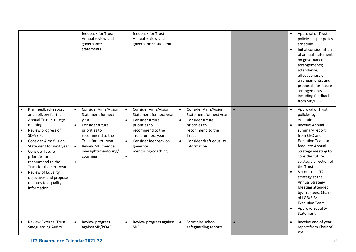|                                                                                                                                                                                                                                                                                                                                                                                       | feedback for Trust<br>Annual review and<br>governance<br>statements                                                                                                                                                         | feedback for Trust<br>Annual review and<br>governance statements                                                                                                                                                          |                                                                                                                                                                                                   |           | Approval of Trust<br>$\bullet$<br>policies as per policy<br>schedule<br>Initial consideration<br>$\bullet$<br>of annual statement<br>on governance<br>arrangements;<br>attendance;<br>effectiveness of<br>arrangements; and<br>proposals for future<br>arrangements<br>including feedback<br>from SIB/LGB                                                                                                                            |
|---------------------------------------------------------------------------------------------------------------------------------------------------------------------------------------------------------------------------------------------------------------------------------------------------------------------------------------------------------------------------------------|-----------------------------------------------------------------------------------------------------------------------------------------------------------------------------------------------------------------------------|---------------------------------------------------------------------------------------------------------------------------------------------------------------------------------------------------------------------------|---------------------------------------------------------------------------------------------------------------------------------------------------------------------------------------------------|-----------|--------------------------------------------------------------------------------------------------------------------------------------------------------------------------------------------------------------------------------------------------------------------------------------------------------------------------------------------------------------------------------------------------------------------------------------|
| Plan feedback report<br>and delivery for the<br>Annual Trust strategy<br>meeting<br>Review progress of<br>SDP/SIPs<br>Consider Aims/Vision<br>$\bullet$<br>Statement for next year<br>Consider future<br>$\bullet$<br>priorities to<br>recommend to the<br>Trust for the next year<br>Review of Equality<br>$\bullet$<br>objectives and propose<br>updates to equality<br>information | <b>Consider Aims/Vision</b><br>Statement for next<br>year<br>Consider future<br>priorities to<br>recommend to the<br>Trust for next year<br>Review SIB member<br>$\bullet$<br>oversight/mentoring/<br>coaching<br>$\bullet$ | <b>Consider Aims/Vision</b><br>Statement for next year<br>Consider future<br>$\bullet$<br>priorities to<br>recommend to the<br>Trust for next year<br>Consider feedback on<br>governor<br>mentoring/coaching<br>$\bullet$ | Consider Aims/Vision<br>$\bullet$<br>Statement for next year<br>Consider future<br>$\bullet$<br>priorities to<br>recommend to the<br>Trust<br>Consider draft equality<br>$\bullet$<br>information | $\bullet$ | Approval of Trust<br>policies by<br>exception<br>Receive Annual<br>summary report<br>from CEO and<br><b>Executive Team to</b><br>feed into Annual<br>Strategy meeting to<br>consider future<br>strategic direction of<br>the Trust<br>Set out the LT2<br>strategy at the<br><b>Annual Strategy</b><br>Meeting attended<br>by: Trustees; Chairs<br>of LGB/SIB;<br><b>Executive Team</b><br>Approve Equality<br>$\bullet$<br>Statement |
| <b>Review External Trust</b><br>$\bullet$<br>Safeguarding Audit/                                                                                                                                                                                                                                                                                                                      | $\bullet$<br>Review progress<br>against SIP/POAP                                                                                                                                                                            | Review progress against<br>$\bullet$<br>SDP                                                                                                                                                                               | Scrutinise school<br>$\bullet$<br>safeguarding reports                                                                                                                                            | $\bullet$ | Receive end of year<br>report from Chair of<br><b>PSC</b>                                                                                                                                                                                                                                                                                                                                                                            |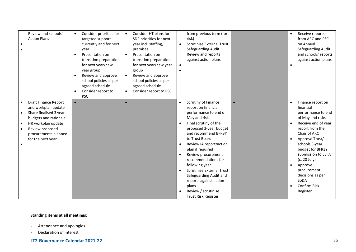| Review and schools'<br><b>Action Plans</b>                                                                                                                                                               | Consider priorities for<br>$\bullet$<br>targeted support<br>currently and for next<br>year<br>Presentation on<br>transition preparation<br>for next year/new<br>year group<br>Review and approve<br>$\bullet$<br>school policies as per<br>agreed schedule<br>Consider report to<br><b>PSC</b> | Consider HT plans for<br>$\bullet$<br>SDP priorities for next<br>year incl. staffing,<br>premises<br>Presentation on<br>transition preparation<br>for next year/new year<br>group<br>Review and approve<br>$\bullet$<br>school policies as per<br>agreed schedule<br>Consider report to PSC<br>$\bullet$ | from previous term (for<br>risk)<br><b>Scrutinise External Trust</b><br>$\bullet$<br>Safeguarding Audit<br>Review and reports<br>against action plans<br>$\bullet$                                                                                                                                                                                                                                                                                                             |           | Receive reports<br>$\bullet$<br>from ARC and PSC<br>on Annual<br>Safeguarding Audit<br>and schools' reports<br>against action plans                                                                                                                                                                                                          |
|----------------------------------------------------------------------------------------------------------------------------------------------------------------------------------------------------------|------------------------------------------------------------------------------------------------------------------------------------------------------------------------------------------------------------------------------------------------------------------------------------------------|----------------------------------------------------------------------------------------------------------------------------------------------------------------------------------------------------------------------------------------------------------------------------------------------------------|--------------------------------------------------------------------------------------------------------------------------------------------------------------------------------------------------------------------------------------------------------------------------------------------------------------------------------------------------------------------------------------------------------------------------------------------------------------------------------|-----------|----------------------------------------------------------------------------------------------------------------------------------------------------------------------------------------------------------------------------------------------------------------------------------------------------------------------------------------------|
| <b>Draft Finance Report</b><br>and workplan update<br>Share finalised 3 year<br>budgets and rationale<br>HR workplan update<br>$\bullet$<br>Review proposed<br>procurements planned<br>for the next year | $\bullet$                                                                                                                                                                                                                                                                                      |                                                                                                                                                                                                                                                                                                          | Scrutiny of Finance<br>$\bullet$<br>report on financial<br>performance to end of<br>May and risks<br>Final scrutiny of the<br>proposed 3-year budget<br>and recommend BFR3Y<br>to Trust Board<br>Review IA report/action<br>$\bullet$<br>plan if required<br>Review procurement<br>recommendations for<br>following year<br><b>Scrutinise External Trust</b><br>Safeguarding Audit and<br>reports against action<br>plans<br>Review / scrutinise<br><b>Trust Risk Register</b> | $\bullet$ | Finance report on<br>$\bullet$<br>financial<br>performance to end<br>of May and risks<br>Receive end of year<br>report from the<br>Chair of ARC<br>Approve Trust/<br>schools 3-year<br>budget for BFR3Y<br>submission to ESFA<br>(c. 20 July)<br>Approve<br>$\bullet$<br>procurement<br>decisions as per<br>SoDA<br>Confirm Risk<br>Register |

# **Standing items at all meetings:**

- Attendance and apologies
- Declaration of interest

# **LT2 Governance Calendar 2021-22** 55